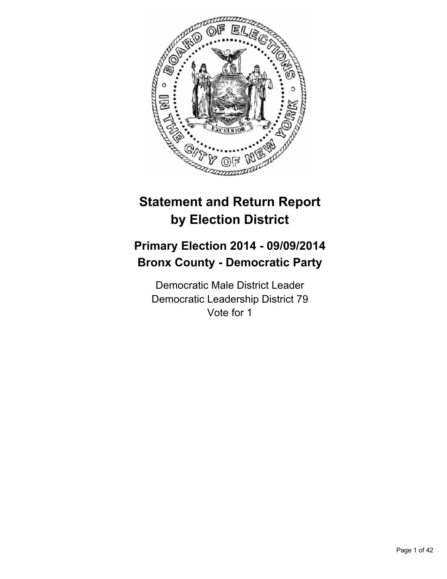

# **Statement and Return Report by Election District**

# **Primary Election 2014 - 09/09/2014 Bronx County - Democratic Party**

Democratic Male District Leader Democratic Leadership District 79 Vote for 1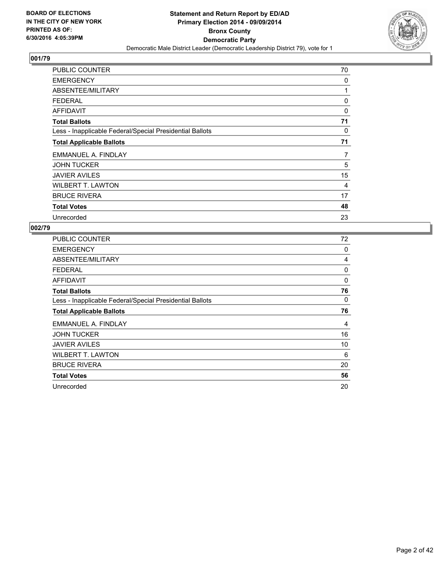

| <b>PUBLIC COUNTER</b>                                    | 70 |
|----------------------------------------------------------|----|
| <b>EMERGENCY</b>                                         | 0  |
| ABSENTEE/MILITARY                                        | 1  |
| <b>FEDERAL</b>                                           | 0  |
| AFFIDAVIT                                                | 0  |
| <b>Total Ballots</b>                                     | 71 |
| Less - Inapplicable Federal/Special Presidential Ballots | 0  |
| <b>Total Applicable Ballots</b>                          | 71 |
| EMMANUEL A. FINDLAY                                      | 7  |
| <b>JOHN TUCKER</b>                                       | 5  |
| <b>JAVIER AVILES</b>                                     | 15 |
| <b>WILBERT T. LAWTON</b>                                 | 4  |
| <b>BRUCE RIVERA</b>                                      | 17 |
| <b>Total Votes</b>                                       | 48 |
| Unrecorded                                               | 23 |

| <b>PUBLIC COUNTER</b>                                    | 72 |
|----------------------------------------------------------|----|
| <b>EMERGENCY</b>                                         | 0  |
| ABSENTEE/MILITARY                                        | 4  |
| <b>FEDERAL</b>                                           | 0  |
| AFFIDAVIT                                                | 0  |
| <b>Total Ballots</b>                                     | 76 |
| Less - Inapplicable Federal/Special Presidential Ballots | 0  |
| <b>Total Applicable Ballots</b>                          | 76 |
| EMMANUEL A. FINDLAY                                      | 4  |
| <b>JOHN TUCKER</b>                                       | 16 |
| <b>JAVIER AVILES</b>                                     | 10 |
| <b>WILBERT T. LAWTON</b>                                 | 6  |
| <b>BRUCE RIVERA</b>                                      | 20 |
| <b>Total Votes</b>                                       | 56 |
| Unrecorded                                               | 20 |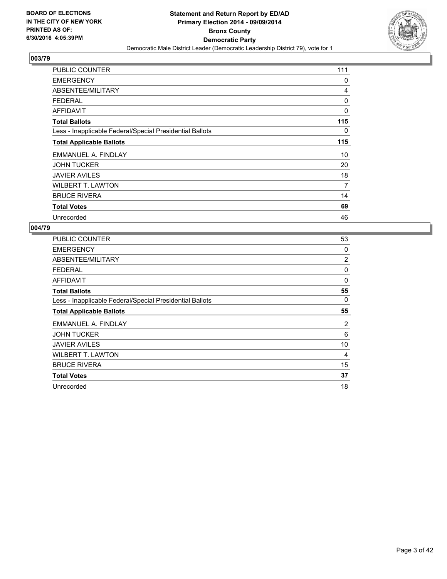

| <b>PUBLIC COUNTER</b>                                    | 111 |
|----------------------------------------------------------|-----|
| <b>EMERGENCY</b>                                         | 0   |
| ABSENTEE/MILITARY                                        | 4   |
| <b>FEDERAL</b>                                           | 0   |
| <b>AFFIDAVIT</b>                                         | 0   |
| <b>Total Ballots</b>                                     | 115 |
| Less - Inapplicable Federal/Special Presidential Ballots | 0   |
| <b>Total Applicable Ballots</b>                          | 115 |
| EMMANUEL A. FINDLAY                                      | 10  |
| <b>JOHN TUCKER</b>                                       | 20  |
| <b>JAVIER AVILES</b>                                     | 18  |
| <b>WILBERT T. LAWTON</b>                                 | 7   |
| <b>BRUCE RIVERA</b>                                      | 14  |
| <b>Total Votes</b>                                       | 69  |
| Unrecorded                                               | 46  |

| <b>PUBLIC COUNTER</b>                                    | 53 |
|----------------------------------------------------------|----|
| <b>EMERGENCY</b>                                         | 0  |
| ABSENTEE/MILITARY                                        | 2  |
| <b>FEDERAL</b>                                           | 0  |
| <b>AFFIDAVIT</b>                                         | 0  |
| <b>Total Ballots</b>                                     | 55 |
| Less - Inapplicable Federal/Special Presidential Ballots | 0  |
| <b>Total Applicable Ballots</b>                          | 55 |
| EMMANUEL A. FINDLAY                                      | 2  |
| <b>JOHN TUCKER</b>                                       | 6  |
| <b>JAVIER AVILES</b>                                     | 10 |
| <b>WILBERT T. LAWTON</b>                                 | 4  |
| <b>BRUCE RIVERA</b>                                      | 15 |
| <b>Total Votes</b>                                       | 37 |
| Unrecorded                                               | 18 |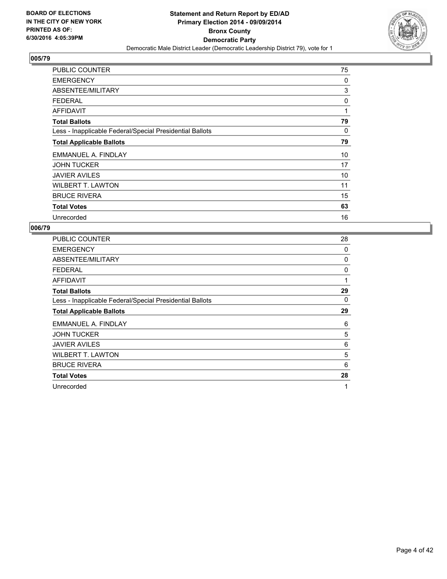

| <b>PUBLIC COUNTER</b>                                    | 75 |
|----------------------------------------------------------|----|
| <b>EMERGENCY</b>                                         | 0  |
| ABSENTEE/MILITARY                                        | 3  |
| <b>FEDERAL</b>                                           | 0  |
| AFFIDAVIT                                                | 1  |
| <b>Total Ballots</b>                                     | 79 |
| Less - Inapplicable Federal/Special Presidential Ballots | 0  |
| <b>Total Applicable Ballots</b>                          | 79 |
| EMMANUEL A. FINDLAY                                      | 10 |
| <b>JOHN TUCKER</b>                                       | 17 |
| <b>JAVIER AVILES</b>                                     | 10 |
| <b>WILBERT T. LAWTON</b>                                 | 11 |
| <b>BRUCE RIVERA</b>                                      | 15 |
| <b>Total Votes</b>                                       | 63 |
| Unrecorded                                               | 16 |

| PUBLIC COUNTER                                           | 28 |
|----------------------------------------------------------|----|
| <b>EMERGENCY</b>                                         | 0  |
| ABSENTEE/MILITARY                                        | 0  |
| <b>FEDERAL</b>                                           | 0  |
| <b>AFFIDAVIT</b>                                         | 1  |
| <b>Total Ballots</b>                                     | 29 |
| Less - Inapplicable Federal/Special Presidential Ballots | 0  |
| <b>Total Applicable Ballots</b>                          | 29 |
| EMMANUEL A. FINDLAY                                      | 6  |
| <b>JOHN TUCKER</b>                                       | 5  |
| <b>JAVIER AVILES</b>                                     | 6  |
| <b>WILBERT T. LAWTON</b>                                 | 5  |
| <b>BRUCE RIVERA</b>                                      | 6  |
| <b>Total Votes</b>                                       | 28 |
| Unrecorded                                               | 1  |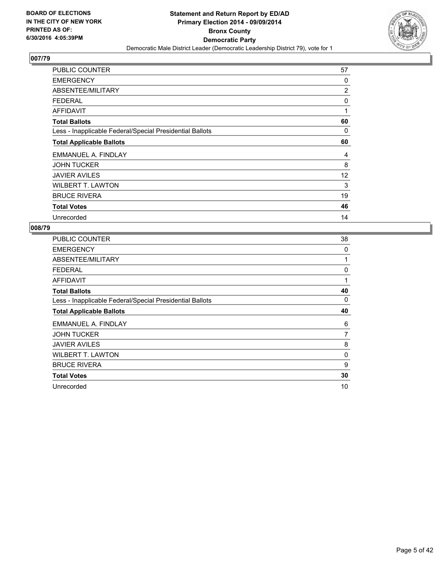

| <b>PUBLIC COUNTER</b>                                    | 57             |
|----------------------------------------------------------|----------------|
| <b>EMERGENCY</b>                                         | 0              |
| ABSENTEE/MILITARY                                        | $\overline{2}$ |
| <b>FEDERAL</b>                                           | 0              |
| AFFIDAVIT                                                | 1              |
| <b>Total Ballots</b>                                     | 60             |
| Less - Inapplicable Federal/Special Presidential Ballots | 0              |
| <b>Total Applicable Ballots</b>                          | 60             |
| EMMANUEL A. FINDLAY                                      | 4              |
| <b>JOHN TUCKER</b>                                       | 8              |
| <b>JAVIER AVILES</b>                                     | 12             |
| <b>WILBERT T. LAWTON</b>                                 | 3              |
| <b>BRUCE RIVERA</b>                                      | 19             |
| <b>Total Votes</b>                                       | 46             |
| Unrecorded                                               | 14             |

| PUBLIC COUNTER                                           | 38 |
|----------------------------------------------------------|----|
| <b>EMERGENCY</b>                                         | 0  |
| ABSENTEE/MILITARY                                        | 1  |
| <b>FEDERAL</b>                                           | 0  |
| <b>AFFIDAVIT</b>                                         | 1  |
| <b>Total Ballots</b>                                     | 40 |
| Less - Inapplicable Federal/Special Presidential Ballots | 0  |
| <b>Total Applicable Ballots</b>                          | 40 |
| EMMANUEL A. FINDLAY                                      | 6  |
|                                                          |    |
| <b>JOHN TUCKER</b>                                       | 7  |
| <b>JAVIER AVILES</b>                                     | 8  |
| <b>WILBERT T. LAWTON</b>                                 | 0  |
| <b>BRUCE RIVERA</b>                                      | 9  |
| <b>Total Votes</b>                                       | 30 |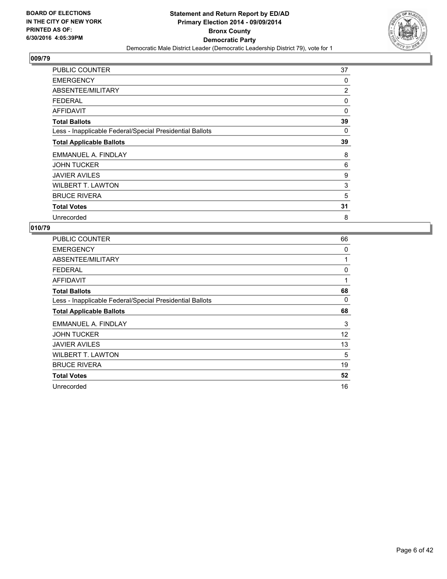

| <b>PUBLIC COUNTER</b>                                    | 37             |
|----------------------------------------------------------|----------------|
| <b>EMERGENCY</b>                                         | 0              |
| ABSENTEE/MILITARY                                        | $\overline{2}$ |
| <b>FEDERAL</b>                                           | 0              |
| <b>AFFIDAVIT</b>                                         | 0              |
| <b>Total Ballots</b>                                     | 39             |
| Less - Inapplicable Federal/Special Presidential Ballots | 0              |
| <b>Total Applicable Ballots</b>                          | 39             |
| EMMANUEL A. FINDLAY                                      | 8              |
| <b>JOHN TUCKER</b>                                       | 6              |
| <b>JAVIER AVILES</b>                                     | 9              |
| <b>WILBERT T. LAWTON</b>                                 | 3              |
| <b>BRUCE RIVERA</b>                                      | 5              |
| <b>Total Votes</b>                                       | 31             |
| Unrecorded                                               | 8              |

| <b>PUBLIC COUNTER</b>                                    | 66 |
|----------------------------------------------------------|----|
| <b>EMERGENCY</b>                                         | 0  |
| ABSENTEE/MILITARY                                        | 1  |
| <b>FEDERAL</b>                                           | 0  |
| <b>AFFIDAVIT</b>                                         | 1  |
| <b>Total Ballots</b>                                     | 68 |
| Less - Inapplicable Federal/Special Presidential Ballots | 0  |
| <b>Total Applicable Ballots</b>                          | 68 |
| EMMANUEL A. FINDLAY                                      | 3  |
| <b>JOHN TUCKER</b>                                       | 12 |
| <b>JAVIER AVILES</b>                                     | 13 |
| <b>WILBERT T. LAWTON</b>                                 | 5  |
| <b>BRUCE RIVERA</b>                                      | 19 |
| <b>Total Votes</b>                                       | 52 |
| Unrecorded                                               | 16 |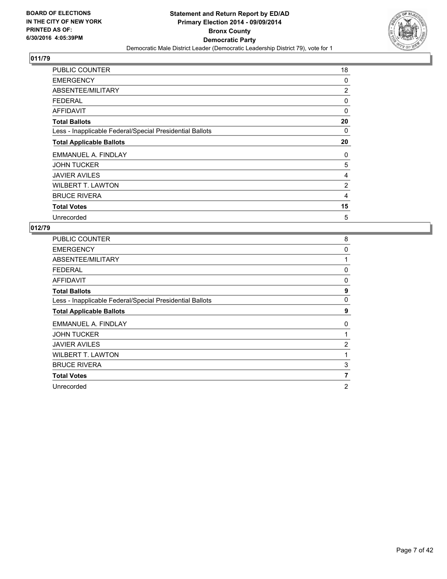

| PUBLIC COUNTER                                           | 18             |
|----------------------------------------------------------|----------------|
| <b>EMERGENCY</b>                                         | 0              |
| ABSENTEE/MILITARY                                        | $\overline{2}$ |
| <b>FEDERAL</b>                                           | 0              |
| <b>AFFIDAVIT</b>                                         | 0              |
| <b>Total Ballots</b>                                     | 20             |
| Less - Inapplicable Federal/Special Presidential Ballots | 0              |
| <b>Total Applicable Ballots</b>                          | 20             |
| EMMANUEL A. FINDLAY                                      | 0              |
| <b>JOHN TUCKER</b>                                       | 5              |
| <b>JAVIER AVILES</b>                                     | 4              |
| <b>WILBERT T. LAWTON</b>                                 | 2              |
| <b>BRUCE RIVERA</b>                                      | 4              |
| <b>Total Votes</b>                                       | 15             |
| Unrecorded                                               | 5              |

| <b>PUBLIC COUNTER</b>                                    | 8              |
|----------------------------------------------------------|----------------|
| <b>EMERGENCY</b>                                         | 0              |
| ABSENTEE/MILITARY                                        | 1              |
| <b>FEDERAL</b>                                           | 0              |
| <b>AFFIDAVIT</b>                                         | 0              |
| <b>Total Ballots</b>                                     | 9              |
| Less - Inapplicable Federal/Special Presidential Ballots | 0              |
| <b>Total Applicable Ballots</b>                          | 9              |
| EMMANUEL A. FINDLAY                                      | 0              |
| <b>JOHN TUCKER</b>                                       |                |
| <b>JAVIER AVILES</b>                                     | $\overline{2}$ |
| <b>WILBERT T. LAWTON</b>                                 | 1              |
| <b>BRUCE RIVERA</b>                                      | 3              |
| <b>Total Votes</b>                                       | 7              |
| Unrecorded                                               | 2              |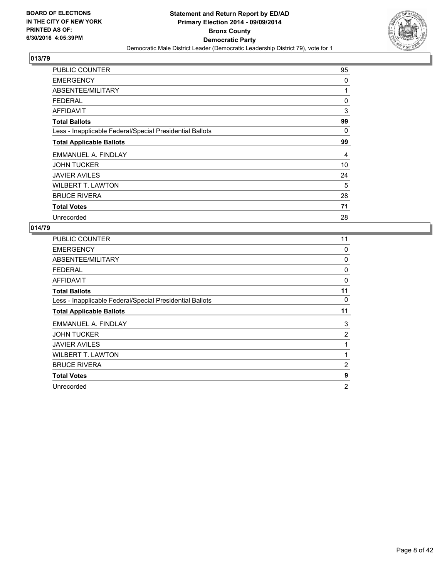

| <b>PUBLIC COUNTER</b>                                    | 95 |
|----------------------------------------------------------|----|
| <b>EMERGENCY</b>                                         | 0  |
| ABSENTEE/MILITARY                                        | 1  |
| <b>FEDERAL</b>                                           | 0  |
| AFFIDAVIT                                                | 3  |
| <b>Total Ballots</b>                                     | 99 |
| Less - Inapplicable Federal/Special Presidential Ballots | 0  |
| <b>Total Applicable Ballots</b>                          | 99 |
| EMMANUEL A. FINDLAY                                      | 4  |
| <b>JOHN TUCKER</b>                                       | 10 |
| <b>JAVIER AVILES</b>                                     | 24 |
| <b>WILBERT T. LAWTON</b>                                 | 5  |
| <b>BRUCE RIVERA</b>                                      | 28 |
| <b>Total Votes</b>                                       | 71 |
| Unrecorded                                               | 28 |

| <b>PUBLIC COUNTER</b>                                    | 11             |
|----------------------------------------------------------|----------------|
| <b>EMERGENCY</b>                                         | 0              |
| ABSENTEE/MILITARY                                        | 0              |
| <b>FEDERAL</b>                                           | 0              |
| <b>AFFIDAVIT</b>                                         | 0              |
| <b>Total Ballots</b>                                     | 11             |
| Less - Inapplicable Federal/Special Presidential Ballots | 0              |
| <b>Total Applicable Ballots</b>                          | 11             |
| EMMANUEL A. FINDLAY                                      | 3              |
| <b>JOHN TUCKER</b>                                       | 2              |
| <b>JAVIER AVILES</b>                                     | 1              |
| <b>WILBERT T. LAWTON</b>                                 | 1              |
| <b>BRUCE RIVERA</b>                                      | $\overline{2}$ |
| <b>Total Votes</b>                                       | 9              |
| Unrecorded                                               | $\overline{2}$ |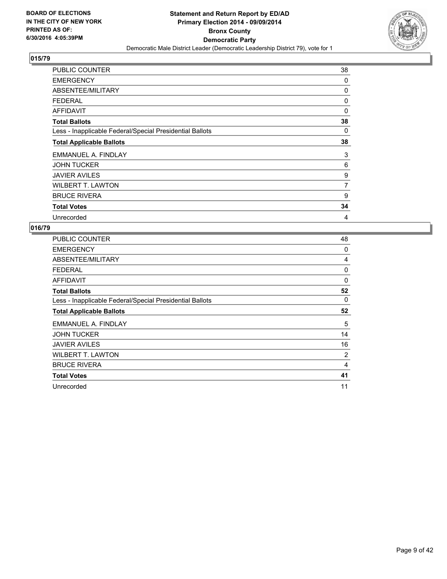

| PUBLIC COUNTER                                           | 38             |
|----------------------------------------------------------|----------------|
| <b>EMERGENCY</b>                                         | 0              |
| ABSENTEE/MILITARY                                        | 0              |
| <b>FEDERAL</b>                                           | 0              |
| AFFIDAVIT                                                | 0              |
| <b>Total Ballots</b>                                     | 38             |
| Less - Inapplicable Federal/Special Presidential Ballots | 0              |
| <b>Total Applicable Ballots</b>                          | 38             |
| EMMANUEL A. FINDLAY                                      | 3              |
| <b>JOHN TUCKER</b>                                       | 6              |
| <b>JAVIER AVILES</b>                                     | 9              |
| <b>WILBERT T. LAWTON</b>                                 | $\overline{7}$ |
| <b>BRUCE RIVERA</b>                                      | 9              |
| <b>Total Votes</b>                                       | 34             |
| Unrecorded                                               | 4              |

| <b>PUBLIC COUNTER</b>                                    | 48 |
|----------------------------------------------------------|----|
| <b>EMERGENCY</b>                                         | 0  |
| ABSENTEE/MILITARY                                        | 4  |
| <b>FEDERAL</b>                                           | 0  |
| <b>AFFIDAVIT</b>                                         | 0  |
| <b>Total Ballots</b>                                     | 52 |
| Less - Inapplicable Federal/Special Presidential Ballots | 0  |
| <b>Total Applicable Ballots</b>                          | 52 |
| EMMANUEL A. FINDLAY                                      | 5  |
| <b>JOHN TUCKER</b>                                       | 14 |
| <b>JAVIER AVILES</b>                                     | 16 |
| <b>WILBERT T. LAWTON</b>                                 | 2  |
| <b>BRUCE RIVERA</b>                                      | 4  |
| <b>Total Votes</b>                                       | 41 |
| Unrecorded                                               | 11 |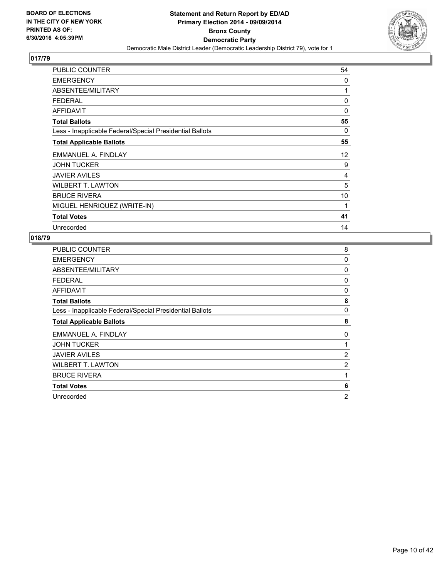

| <b>PUBLIC COUNTER</b>                                    | 54 |
|----------------------------------------------------------|----|
| <b>EMERGENCY</b>                                         | 0  |
| ABSENTEE/MILITARY                                        | 1  |
| <b>FEDERAL</b>                                           | 0  |
| <b>AFFIDAVIT</b>                                         | 0  |
| <b>Total Ballots</b>                                     | 55 |
| Less - Inapplicable Federal/Special Presidential Ballots | 0  |
| <b>Total Applicable Ballots</b>                          | 55 |
| EMMANUEL A. FINDLAY                                      | 12 |
| <b>JOHN TUCKER</b>                                       | 9  |
| <b>JAVIER AVILES</b>                                     | 4  |
| <b>WILBERT T. LAWTON</b>                                 | 5  |
| <b>BRUCE RIVERA</b>                                      | 10 |
| MIGUEL HENRIQUEZ (WRITE-IN)                              | 1  |
| <b>Total Votes</b>                                       | 41 |
| Unrecorded                                               | 14 |

| <b>PUBLIC COUNTER</b>                                    | 8              |
|----------------------------------------------------------|----------------|
| <b>EMERGENCY</b>                                         | 0              |
| ABSENTEE/MILITARY                                        | 0              |
| <b>FEDERAL</b>                                           | 0              |
| AFFIDAVIT                                                | 0              |
| <b>Total Ballots</b>                                     | 8              |
| Less - Inapplicable Federal/Special Presidential Ballots | 0              |
| <b>Total Applicable Ballots</b>                          | 8              |
| EMMANUEL A. FINDLAY                                      | 0              |
| <b>JOHN TUCKER</b>                                       | 1              |
| <b>JAVIER AVILES</b>                                     | 2              |
| <b>WILBERT T. LAWTON</b>                                 | 2              |
| <b>BRUCE RIVERA</b>                                      | 1              |
| <b>Total Votes</b>                                       | 6              |
| Unrecorded                                               | $\overline{2}$ |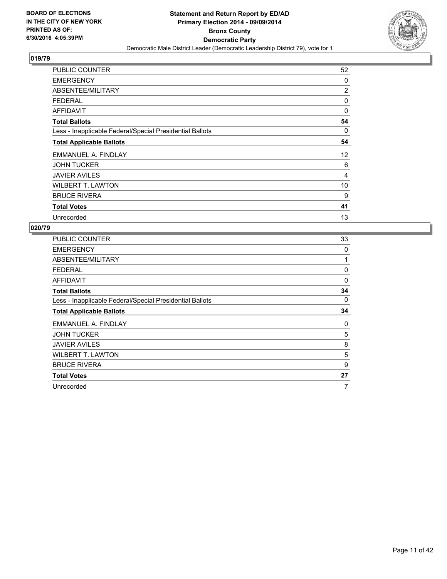

| <b>PUBLIC COUNTER</b>                                    | 52             |
|----------------------------------------------------------|----------------|
| <b>EMERGENCY</b>                                         | 0              |
| ABSENTEE/MILITARY                                        | $\overline{2}$ |
| <b>FEDERAL</b>                                           | 0              |
| <b>AFFIDAVIT</b>                                         | 0              |
| <b>Total Ballots</b>                                     | 54             |
| Less - Inapplicable Federal/Special Presidential Ballots | 0              |
| <b>Total Applicable Ballots</b>                          | 54             |
| EMMANUEL A. FINDLAY                                      | 12             |
| <b>JOHN TUCKER</b>                                       | 6              |
| <b>JAVIER AVILES</b>                                     | 4              |
| <b>WILBERT T. LAWTON</b>                                 | 10             |
| <b>BRUCE RIVERA</b>                                      | 9              |
| <b>Total Votes</b>                                       | 41             |
| Unrecorded                                               | 13             |

| PUBLIC COUNTER                                           | 33 |
|----------------------------------------------------------|----|
| <b>EMERGENCY</b>                                         | 0  |
| ABSENTEE/MILITARY                                        | 1  |
| <b>FEDERAL</b>                                           | 0  |
| <b>AFFIDAVIT</b>                                         | 0  |
| <b>Total Ballots</b>                                     | 34 |
| Less - Inapplicable Federal/Special Presidential Ballots | 0  |
| <b>Total Applicable Ballots</b>                          | 34 |
| EMMANUEL A. FINDLAY                                      | 0  |
| <b>JOHN TUCKER</b>                                       | 5  |
| <b>JAVIER AVILES</b>                                     | 8  |
| <b>WILBERT T. LAWTON</b>                                 | 5  |
| <b>BRUCE RIVERA</b>                                      | 9  |
| <b>Total Votes</b>                                       | 27 |
| Unrecorded                                               | 7  |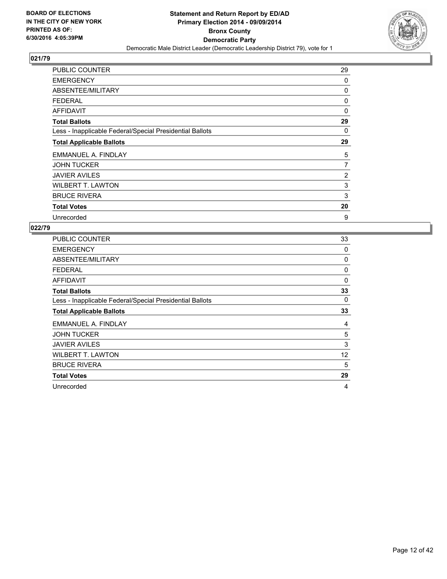

| <b>PUBLIC COUNTER</b>                                    | 29             |
|----------------------------------------------------------|----------------|
| <b>EMERGENCY</b>                                         | 0              |
| ABSENTEE/MILITARY                                        | 0              |
| <b>FEDERAL</b>                                           | 0              |
| <b>AFFIDAVIT</b>                                         | $\Omega$       |
| <b>Total Ballots</b>                                     | 29             |
| Less - Inapplicable Federal/Special Presidential Ballots | 0              |
| <b>Total Applicable Ballots</b>                          | 29             |
| EMMANUEL A. FINDLAY                                      | 5              |
| <b>JOHN TUCKER</b>                                       | 7              |
| <b>JAVIER AVILES</b>                                     | $\overline{2}$ |
| <b>WILBERT T. LAWTON</b>                                 | 3              |
| <b>BRUCE RIVERA</b>                                      | 3              |
| <b>Total Votes</b>                                       | 20             |
| Unrecorded                                               | 9              |

| PUBLIC COUNTER                                           | 33 |
|----------------------------------------------------------|----|
| <b>EMERGENCY</b>                                         | 0  |
| ABSENTEE/MILITARY                                        | 0  |
| <b>FEDERAL</b>                                           | 0  |
| <b>AFFIDAVIT</b>                                         | 0  |
| <b>Total Ballots</b>                                     | 33 |
| Less - Inapplicable Federal/Special Presidential Ballots | 0  |
| <b>Total Applicable Ballots</b>                          | 33 |
| EMMANUEL A. FINDLAY                                      | 4  |
| <b>JOHN TUCKER</b>                                       | 5  |
| <b>JAVIER AVILES</b>                                     | 3  |
| <b>WILBERT T. LAWTON</b>                                 | 12 |
| <b>BRUCE RIVERA</b>                                      | 5  |
| <b>Total Votes</b>                                       | 29 |
| Unrecorded                                               | 4  |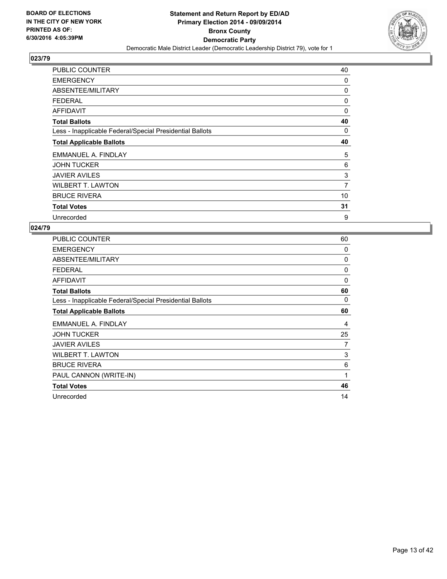

| PUBLIC COUNTER                                           | 40 |
|----------------------------------------------------------|----|
| <b>EMERGENCY</b>                                         | 0  |
| ABSENTEE/MILITARY                                        | 0  |
| <b>FEDERAL</b>                                           | 0  |
| <b>AFFIDAVIT</b>                                         | 0  |
| <b>Total Ballots</b>                                     | 40 |
| Less - Inapplicable Federal/Special Presidential Ballots | 0  |
| <b>Total Applicable Ballots</b>                          | 40 |
| EMMANUEL A. FINDLAY                                      | 5  |
| <b>JOHN TUCKER</b>                                       | 6  |
| <b>JAVIER AVILES</b>                                     | 3  |
| <b>WILBERT T. LAWTON</b>                                 | 7  |
| <b>BRUCE RIVERA</b>                                      | 10 |
| <b>Total Votes</b>                                       | 31 |
| Unrecorded                                               | 9  |

| <b>PUBLIC COUNTER</b>                                    | 60 |
|----------------------------------------------------------|----|
| <b>EMERGENCY</b>                                         | 0  |
| ABSENTEE/MILITARY                                        | 0  |
| <b>FEDERAL</b>                                           | 0  |
| <b>AFFIDAVIT</b>                                         | 0  |
| <b>Total Ballots</b>                                     | 60 |
| Less - Inapplicable Federal/Special Presidential Ballots | 0  |
| <b>Total Applicable Ballots</b>                          | 60 |
| EMMANUEL A. FINDLAY                                      | 4  |
| <b>JOHN TUCKER</b>                                       | 25 |
| <b>JAVIER AVILES</b>                                     | 7  |
| <b>WILBERT T. LAWTON</b>                                 | 3  |
| <b>BRUCE RIVERA</b>                                      | 6  |
| PAUL CANNON (WRITE-IN)                                   | 1  |
| <b>Total Votes</b>                                       | 46 |
| Unrecorded                                               | 14 |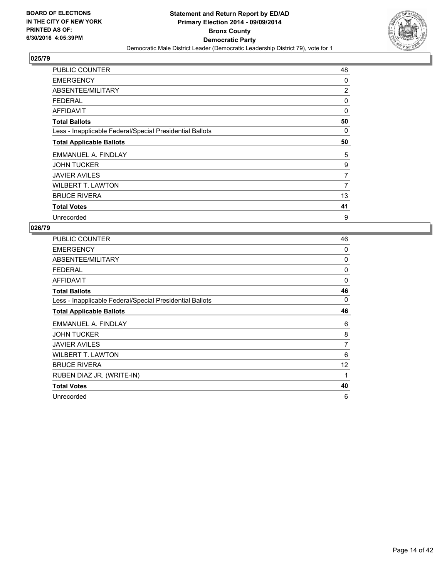

| <b>PUBLIC COUNTER</b>                                    | 48             |
|----------------------------------------------------------|----------------|
| <b>EMERGENCY</b>                                         | 0              |
| ABSENTEE/MILITARY                                        | $\overline{2}$ |
| <b>FEDERAL</b>                                           | 0              |
| <b>AFFIDAVIT</b>                                         | $\Omega$       |
| <b>Total Ballots</b>                                     | 50             |
| Less - Inapplicable Federal/Special Presidential Ballots | 0              |
| <b>Total Applicable Ballots</b>                          | 50             |
| EMMANUEL A. FINDLAY                                      | 5              |
| <b>JOHN TUCKER</b>                                       | 9              |
| <b>JAVIER AVILES</b>                                     | 7              |
| <b>WILBERT T. LAWTON</b>                                 | 7              |
| <b>BRUCE RIVERA</b>                                      | 13             |
| <b>Total Votes</b>                                       | 41             |
| Unrecorded                                               | 9              |

| <b>PUBLIC COUNTER</b>                                    | 46 |
|----------------------------------------------------------|----|
| <b>EMERGENCY</b>                                         | 0  |
| ABSENTEE/MILITARY                                        | 0  |
| <b>FEDERAL</b>                                           | 0  |
| <b>AFFIDAVIT</b>                                         | 0  |
| <b>Total Ballots</b>                                     | 46 |
| Less - Inapplicable Federal/Special Presidential Ballots | 0  |
| <b>Total Applicable Ballots</b>                          | 46 |
| EMMANUEL A. FINDLAY                                      | 6  |
| <b>JOHN TUCKER</b>                                       | 8  |
| <b>JAVIER AVILES</b>                                     | 7  |
| <b>WILBERT T. LAWTON</b>                                 | 6  |
| <b>BRUCE RIVERA</b>                                      | 12 |
| RUBEN DIAZ JR. (WRITE-IN)                                | 1  |
| <b>Total Votes</b>                                       | 40 |
| Unrecorded                                               | 6  |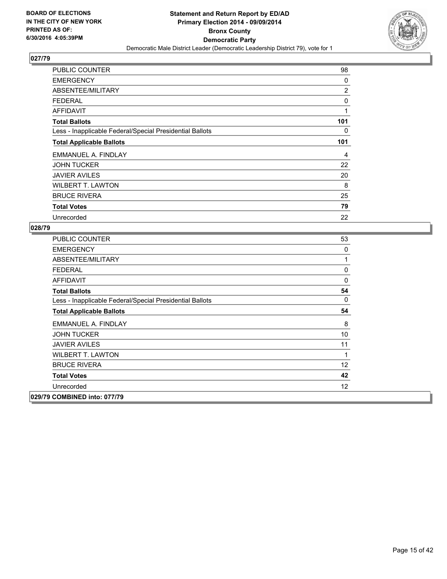

| <b>PUBLIC COUNTER</b>                                    | 98             |
|----------------------------------------------------------|----------------|
| <b>EMERGENCY</b>                                         | 0              |
| ABSENTEE/MILITARY                                        | $\overline{2}$ |
| <b>FEDERAL</b>                                           | 0              |
| <b>AFFIDAVIT</b>                                         | 1              |
| <b>Total Ballots</b>                                     | 101            |
| Less - Inapplicable Federal/Special Presidential Ballots | 0              |
| <b>Total Applicable Ballots</b>                          | 101            |
| EMMANUEL A. FINDLAY                                      | 4              |
| <b>JOHN TUCKER</b>                                       | 22             |
| <b>JAVIER AVILES</b>                                     | 20             |
| <b>WILBERT T. LAWTON</b>                                 | 8              |
| <b>BRUCE RIVERA</b>                                      | 25             |
| <b>Total Votes</b>                                       | 79             |
| Unrecorded                                               | 22             |

| <b>PUBLIC COUNTER</b>                                    | 53 |
|----------------------------------------------------------|----|
| <b>EMERGENCY</b>                                         | 0  |
| ABSENTEE/MILITARY                                        | 1  |
| <b>FEDERAL</b>                                           | 0  |
| <b>AFFIDAVIT</b>                                         | 0  |
| <b>Total Ballots</b>                                     | 54 |
| Less - Inapplicable Federal/Special Presidential Ballots | 0  |
| <b>Total Applicable Ballots</b>                          | 54 |
| EMMANUEL A. FINDLAY                                      | 8  |
| <b>JOHN TUCKER</b>                                       | 10 |
| <b>JAVIER AVILES</b>                                     | 11 |
| <b>WILBERT T. LAWTON</b>                                 | 1  |
| <b>BRUCE RIVERA</b>                                      | 12 |
| <b>Total Votes</b>                                       | 42 |
| Unrecorded                                               | 12 |
| 029/79 COMBINED into: 077/79                             |    |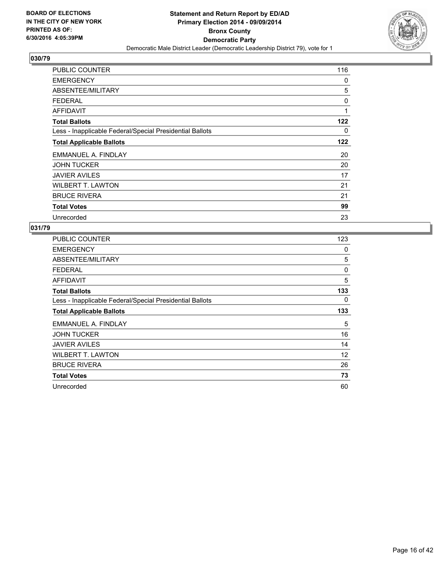

| <b>PUBLIC COUNTER</b>                                    | 116 |
|----------------------------------------------------------|-----|
| <b>EMERGENCY</b>                                         | 0   |
| ABSENTEE/MILITARY                                        | 5   |
| <b>FEDERAL</b>                                           | 0   |
| AFFIDAVIT                                                | 1   |
| <b>Total Ballots</b>                                     | 122 |
| Less - Inapplicable Federal/Special Presidential Ballots | 0   |
| <b>Total Applicable Ballots</b>                          | 122 |
| EMMANUEL A. FINDLAY                                      | 20  |
| <b>JOHN TUCKER</b>                                       | 20  |
| <b>JAVIER AVILES</b>                                     | 17  |
| <b>WILBERT T. LAWTON</b>                                 | 21  |
| <b>BRUCE RIVERA</b>                                      | 21  |
| <b>Total Votes</b>                                       | 99  |
| Unrecorded                                               | 23  |

| <b>PUBLIC COUNTER</b>                                    | 123 |
|----------------------------------------------------------|-----|
| <b>EMERGENCY</b>                                         | 0   |
| ABSENTEE/MILITARY                                        | 5   |
| <b>FEDERAL</b>                                           | 0   |
| <b>AFFIDAVIT</b>                                         | 5   |
| <b>Total Ballots</b>                                     | 133 |
| Less - Inapplicable Federal/Special Presidential Ballots | 0   |
| <b>Total Applicable Ballots</b>                          | 133 |
| EMMANUEL A. FINDLAY                                      | 5   |
| <b>JOHN TUCKER</b>                                       | 16  |
| <b>JAVIER AVILES</b>                                     | 14  |
| <b>WILBERT T. LAWTON</b>                                 | 12  |
| <b>BRUCE RIVERA</b>                                      | 26  |
| <b>Total Votes</b>                                       | 73  |
| Unrecorded                                               | 60  |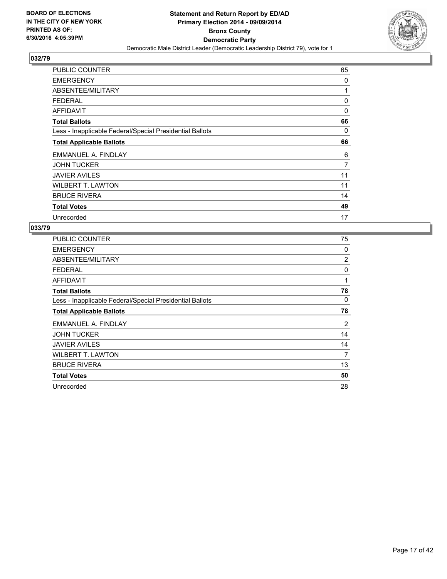

| PUBLIC COUNTER                                           | 65             |
|----------------------------------------------------------|----------------|
| <b>EMERGENCY</b>                                         | 0              |
| ABSENTEE/MILITARY                                        | 1              |
| <b>FEDERAL</b>                                           | 0              |
| <b>AFFIDAVIT</b>                                         | 0              |
| <b>Total Ballots</b>                                     | 66             |
| Less - Inapplicable Federal/Special Presidential Ballots | 0              |
| <b>Total Applicable Ballots</b>                          | 66             |
| EMMANUEL A. FINDLAY                                      | 6              |
| <b>JOHN TUCKER</b>                                       | $\overline{7}$ |
| <b>JAVIER AVILES</b>                                     | 11             |
| <b>WILBERT T. LAWTON</b>                                 | 11             |
| <b>BRUCE RIVERA</b>                                      | 14             |
| <b>Total Votes</b>                                       | 49             |
| Unrecorded                                               | 17             |

| <b>PUBLIC COUNTER</b>                                    | 75             |
|----------------------------------------------------------|----------------|
| <b>EMERGENCY</b>                                         | 0              |
| ABSENTEE/MILITARY                                        | $\overline{2}$ |
| <b>FEDERAL</b>                                           | 0              |
| <b>AFFIDAVIT</b>                                         | 1              |
| <b>Total Ballots</b>                                     | 78             |
| Less - Inapplicable Federal/Special Presidential Ballots | 0              |
| <b>Total Applicable Ballots</b>                          | 78             |
| EMMANUEL A. FINDLAY                                      | 2              |
| <b>JOHN TUCKER</b>                                       | 14             |
| <b>JAVIER AVILES</b>                                     | 14             |
| <b>WILBERT T. LAWTON</b>                                 | 7              |
| <b>BRUCE RIVERA</b>                                      | 13             |
| <b>Total Votes</b>                                       | 50             |
| Unrecorded                                               | 28             |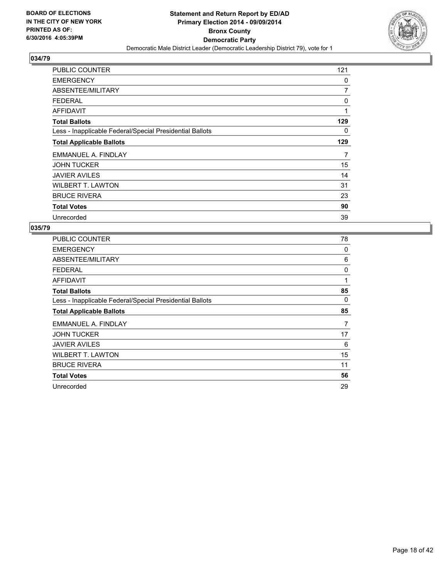

| <b>PUBLIC COUNTER</b>                                    | 121 |
|----------------------------------------------------------|-----|
| <b>EMERGENCY</b>                                         | 0   |
| ABSENTEE/MILITARY                                        | 7   |
| <b>FEDERAL</b>                                           | 0   |
| AFFIDAVIT                                                | 1   |
| <b>Total Ballots</b>                                     | 129 |
| Less - Inapplicable Federal/Special Presidential Ballots | 0   |
| <b>Total Applicable Ballots</b>                          | 129 |
| EMMANUEL A. FINDLAY                                      | 7   |
| <b>JOHN TUCKER</b>                                       | 15  |
| <b>JAVIER AVILES</b>                                     | 14  |
| <b>WILBERT T. LAWTON</b>                                 | 31  |
| <b>BRUCE RIVERA</b>                                      | 23  |
| <b>Total Votes</b>                                       | 90  |
| Unrecorded                                               | 39  |

| <b>PUBLIC COUNTER</b>                                    | 78 |
|----------------------------------------------------------|----|
| <b>EMERGENCY</b>                                         | 0  |
| ABSENTEE/MILITARY                                        | 6  |
| <b>FEDERAL</b>                                           | 0  |
| AFFIDAVIT                                                | 1  |
| <b>Total Ballots</b>                                     | 85 |
| Less - Inapplicable Federal/Special Presidential Ballots | 0  |
| <b>Total Applicable Ballots</b>                          | 85 |
| EMMANUEL A. FINDLAY                                      | 7  |
| <b>JOHN TUCKER</b>                                       | 17 |
| <b>JAVIER AVILES</b>                                     | 6  |
| <b>WILBERT T. LAWTON</b>                                 | 15 |
| <b>BRUCE RIVERA</b>                                      | 11 |
| <b>Total Votes</b>                                       | 56 |
| Unrecorded                                               | 29 |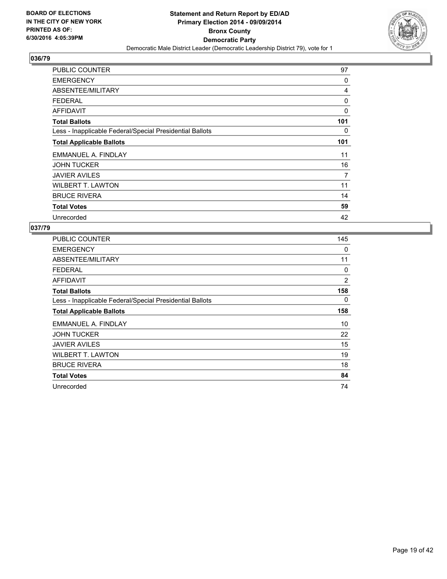

| <b>PUBLIC COUNTER</b>                                    | 97  |
|----------------------------------------------------------|-----|
| <b>EMERGENCY</b>                                         | 0   |
| ABSENTEE/MILITARY                                        | 4   |
| <b>FEDERAL</b>                                           | 0   |
| <b>AFFIDAVIT</b>                                         | 0   |
| <b>Total Ballots</b>                                     | 101 |
| Less - Inapplicable Federal/Special Presidential Ballots | 0   |
| <b>Total Applicable Ballots</b>                          | 101 |
| EMMANUEL A. FINDLAY                                      | 11  |
| <b>JOHN TUCKER</b>                                       | 16  |
| <b>JAVIER AVILES</b>                                     | 7   |
| <b>WILBERT T. LAWTON</b>                                 | 11  |
| <b>BRUCE RIVERA</b>                                      | 14  |
| <b>Total Votes</b>                                       | 59  |
| Unrecorded                                               | 42  |

| <b>PUBLIC COUNTER</b>                                    | 145 |
|----------------------------------------------------------|-----|
| <b>EMERGENCY</b>                                         | 0   |
| ABSENTEE/MILITARY                                        | 11  |
| <b>FEDERAL</b>                                           | 0   |
| <b>AFFIDAVIT</b>                                         | 2   |
| <b>Total Ballots</b>                                     | 158 |
| Less - Inapplicable Federal/Special Presidential Ballots | 0   |
| <b>Total Applicable Ballots</b>                          | 158 |
| EMMANUEL A. FINDLAY                                      | 10  |
| <b>JOHN TUCKER</b>                                       | 22  |
| <b>JAVIER AVILES</b>                                     | 15  |
| <b>WILBERT T. LAWTON</b>                                 | 19  |
| <b>BRUCE RIVERA</b>                                      | 18  |
| <b>Total Votes</b>                                       | 84  |
| Unrecorded                                               | 74  |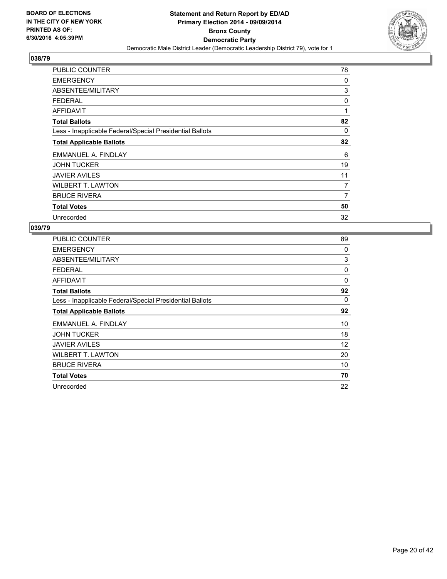

| <b>PUBLIC COUNTER</b>                                    | 78 |
|----------------------------------------------------------|----|
| <b>EMERGENCY</b>                                         | 0  |
| ABSENTEE/MILITARY                                        | 3  |
| <b>FEDERAL</b>                                           | 0  |
| <b>AFFIDAVIT</b>                                         | 1  |
| <b>Total Ballots</b>                                     | 82 |
| Less - Inapplicable Federal/Special Presidential Ballots | 0  |
| <b>Total Applicable Ballots</b>                          | 82 |
| EMMANUEL A. FINDLAY                                      | 6  |
| <b>JOHN TUCKER</b>                                       | 19 |
| <b>JAVIER AVILES</b>                                     | 11 |
| <b>WILBERT T. LAWTON</b>                                 | 7  |
| <b>BRUCE RIVERA</b>                                      | 7  |
| <b>Total Votes</b>                                       | 50 |
| Unrecorded                                               | 32 |

| <b>PUBLIC COUNTER</b>                                    | 89 |
|----------------------------------------------------------|----|
| <b>EMERGENCY</b>                                         | 0  |
| ABSENTEE/MILITARY                                        | 3  |
| <b>FEDERAL</b>                                           | 0  |
| AFFIDAVIT                                                | 0  |
| <b>Total Ballots</b>                                     | 92 |
| Less - Inapplicable Federal/Special Presidential Ballots | 0  |
| <b>Total Applicable Ballots</b>                          | 92 |
| EMMANUEL A. FINDLAY                                      | 10 |
| <b>JOHN TUCKER</b>                                       | 18 |
| <b>JAVIER AVILES</b>                                     | 12 |
| <b>WILBERT T. LAWTON</b>                                 | 20 |
| <b>BRUCE RIVERA</b>                                      | 10 |
| <b>Total Votes</b>                                       | 70 |
| Unrecorded                                               | 22 |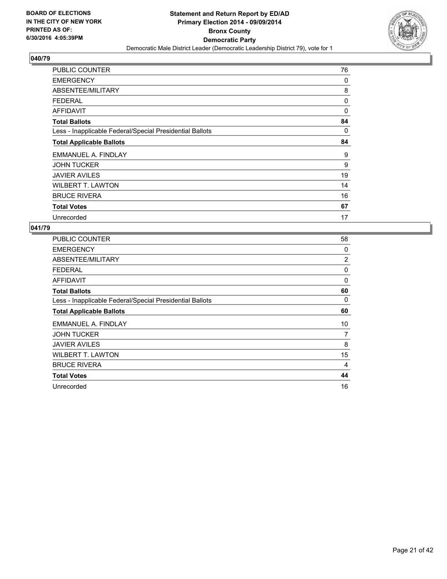

| <b>PUBLIC COUNTER</b>                                    | 76       |
|----------------------------------------------------------|----------|
| <b>EMERGENCY</b>                                         | 0        |
| ABSENTEE/MILITARY                                        | 8        |
| <b>FEDERAL</b>                                           | 0        |
| AFFIDAVIT                                                | $\Omega$ |
| <b>Total Ballots</b>                                     | 84       |
| Less - Inapplicable Federal/Special Presidential Ballots | 0        |
| <b>Total Applicable Ballots</b>                          | 84       |
| EMMANUEL A. FINDLAY                                      | 9        |
| <b>JOHN TUCKER</b>                                       | 9        |
| <b>JAVIER AVILES</b>                                     | 19       |
| <b>WILBERT T. LAWTON</b>                                 | 14       |
| <b>BRUCE RIVERA</b>                                      | 16       |
| <b>Total Votes</b>                                       | 67       |
| Unrecorded                                               | 17       |

| <b>PUBLIC COUNTER</b>                                    | 58 |
|----------------------------------------------------------|----|
| <b>EMERGENCY</b>                                         | 0  |
| ABSENTEE/MILITARY                                        | 2  |
| <b>FEDERAL</b>                                           | 0  |
| <b>AFFIDAVIT</b>                                         | 0  |
| <b>Total Ballots</b>                                     | 60 |
| Less - Inapplicable Federal/Special Presidential Ballots | 0  |
| <b>Total Applicable Ballots</b>                          | 60 |
| EMMANUEL A. FINDLAY                                      | 10 |
| <b>JOHN TUCKER</b>                                       | 7  |
| <b>JAVIER AVILES</b>                                     | 8  |
| <b>WILBERT T. LAWTON</b>                                 | 15 |
| <b>BRUCE RIVERA</b>                                      | 4  |
| <b>Total Votes</b>                                       | 44 |
| Unrecorded                                               | 16 |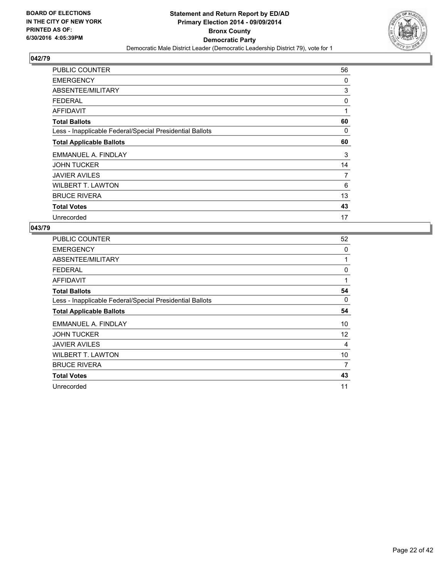

| <b>PUBLIC COUNTER</b>                                    | 56 |
|----------------------------------------------------------|----|
| <b>EMERGENCY</b>                                         | 0  |
| ABSENTEE/MILITARY                                        | 3  |
| <b>FEDERAL</b>                                           | 0  |
| AFFIDAVIT                                                | 1  |
| <b>Total Ballots</b>                                     | 60 |
| Less - Inapplicable Federal/Special Presidential Ballots | 0  |
| <b>Total Applicable Ballots</b>                          | 60 |
| EMMANUEL A. FINDLAY                                      | 3  |
| <b>JOHN TUCKER</b>                                       | 14 |
| <b>JAVIER AVILES</b>                                     | 7  |
| <b>WILBERT T. LAWTON</b>                                 | 6  |
| <b>BRUCE RIVERA</b>                                      | 13 |
| <b>Total Votes</b>                                       | 43 |
| Unrecorded                                               | 17 |

| <b>PUBLIC COUNTER</b>                                    | 52 |
|----------------------------------------------------------|----|
| <b>EMERGENCY</b>                                         | 0  |
| ABSENTEE/MILITARY                                        | 1  |
| <b>FEDERAL</b>                                           | 0  |
| <b>AFFIDAVIT</b>                                         | 1  |
| <b>Total Ballots</b>                                     | 54 |
| Less - Inapplicable Federal/Special Presidential Ballots | 0  |
| <b>Total Applicable Ballots</b>                          | 54 |
| EMMANUEL A. FINDLAY                                      | 10 |
| <b>JOHN TUCKER</b>                                       | 12 |
| <b>JAVIER AVILES</b>                                     | 4  |
| <b>WILBERT T. LAWTON</b>                                 | 10 |
| <b>BRUCE RIVERA</b>                                      | 7  |
| <b>Total Votes</b>                                       | 43 |
| Unrecorded                                               | 11 |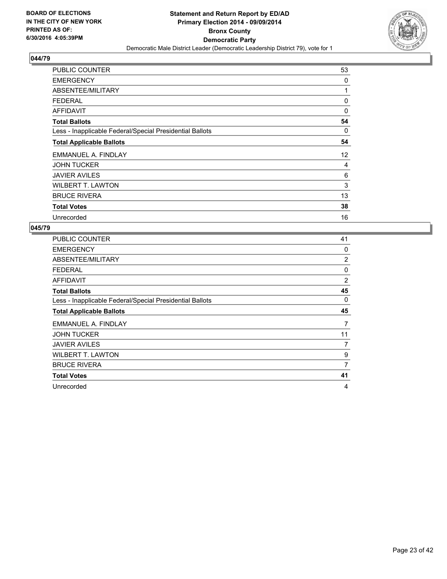

| PUBLIC COUNTER                                           | 53 |
|----------------------------------------------------------|----|
| <b>EMERGENCY</b>                                         | 0  |
| ABSENTEE/MILITARY                                        | 1  |
| <b>FEDERAL</b>                                           | 0  |
| <b>AFFIDAVIT</b>                                         | 0  |
| <b>Total Ballots</b>                                     | 54 |
| Less - Inapplicable Federal/Special Presidential Ballots | 0  |
| <b>Total Applicable Ballots</b>                          | 54 |
| EMMANUEL A. FINDLAY                                      | 12 |
| <b>JOHN TUCKER</b>                                       | 4  |
| <b>JAVIER AVILES</b>                                     | 6  |
| <b>WILBERT T. LAWTON</b>                                 | 3  |
| <b>BRUCE RIVERA</b>                                      | 13 |
| <b>Total Votes</b>                                       | 38 |
| Unrecorded                                               | 16 |

| PUBLIC COUNTER                                           | 41             |
|----------------------------------------------------------|----------------|
| <b>EMERGENCY</b>                                         | 0              |
| ABSENTEE/MILITARY                                        | $\overline{2}$ |
| <b>FEDERAL</b>                                           | $\Omega$       |
| <b>AFFIDAVIT</b>                                         | $\overline{2}$ |
| <b>Total Ballots</b>                                     | 45             |
| Less - Inapplicable Federal/Special Presidential Ballots | 0              |
| <b>Total Applicable Ballots</b>                          | 45             |
| EMMANUEL A. FINDLAY                                      | 7              |
| <b>JOHN TUCKER</b>                                       | 11             |
| <b>JAVIER AVILES</b>                                     | 7              |
| <b>WILBERT T. LAWTON</b>                                 | 9              |
| <b>BRUCE RIVERA</b>                                      | 7              |
| <b>Total Votes</b>                                       | 41             |
| Unrecorded                                               | 4              |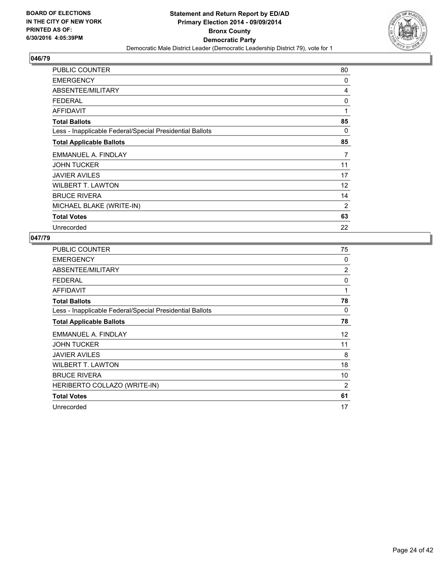

| <b>PUBLIC COUNTER</b>                                    | 80 |
|----------------------------------------------------------|----|
| <b>EMERGENCY</b>                                         | 0  |
| ABSENTEE/MILITARY                                        | 4  |
| <b>FEDERAL</b>                                           | 0  |
| <b>AFFIDAVIT</b>                                         | 1  |
| <b>Total Ballots</b>                                     | 85 |
| Less - Inapplicable Federal/Special Presidential Ballots | 0  |
| <b>Total Applicable Ballots</b>                          | 85 |
| EMMANUEL A. FINDLAY                                      | 7  |
| <b>JOHN TUCKER</b>                                       | 11 |
| <b>JAVIER AVILES</b>                                     | 17 |
| <b>WILBERT T. LAWTON</b>                                 | 12 |
| <b>BRUCE RIVERA</b>                                      | 14 |
| MICHAEL BLAKE (WRITE-IN)                                 | 2  |
| <b>Total Votes</b>                                       | 63 |
| Unrecorded                                               | 22 |

| <b>PUBLIC COUNTER</b>                                    | 75 |
|----------------------------------------------------------|----|
| <b>EMERGENCY</b>                                         | 0  |
| ABSENTEE/MILITARY                                        | 2  |
| <b>FEDERAL</b>                                           | 0  |
| <b>AFFIDAVIT</b>                                         | 1  |
| <b>Total Ballots</b>                                     | 78 |
| Less - Inapplicable Federal/Special Presidential Ballots | 0  |
| <b>Total Applicable Ballots</b>                          | 78 |
| EMMANUEL A. FINDLAY                                      | 12 |
| <b>JOHN TUCKER</b>                                       | 11 |
| <b>JAVIER AVILES</b>                                     | 8  |
| <b>WILBERT T. LAWTON</b>                                 | 18 |
| <b>BRUCE RIVERA</b>                                      | 10 |
| HERIBERTO COLLAZO (WRITE-IN)                             | 2  |
| <b>Total Votes</b>                                       | 61 |
| Unrecorded                                               | 17 |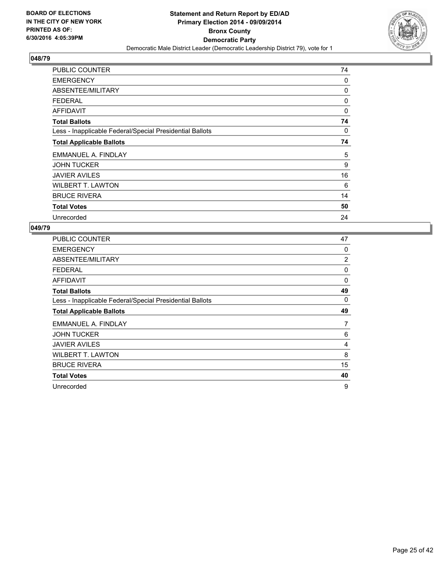

| <b>PUBLIC COUNTER</b>                                    | 74 |
|----------------------------------------------------------|----|
| <b>EMERGENCY</b>                                         | 0  |
| ABSENTEE/MILITARY                                        | 0  |
| <b>FEDERAL</b>                                           | 0  |
| <b>AFFIDAVIT</b>                                         | 0  |
| <b>Total Ballots</b>                                     | 74 |
| Less - Inapplicable Federal/Special Presidential Ballots | 0  |
| <b>Total Applicable Ballots</b>                          | 74 |
| EMMANUEL A. FINDLAY                                      | 5  |
| <b>JOHN TUCKER</b>                                       | 9  |
| <b>JAVIER AVILES</b>                                     | 16 |
| <b>WILBERT T. LAWTON</b>                                 | 6  |
| <b>BRUCE RIVERA</b>                                      | 14 |
| <b>Total Votes</b>                                       | 50 |
| Unrecorded                                               | 24 |

| <b>PUBLIC COUNTER</b>                                    | 47 |
|----------------------------------------------------------|----|
| <b>EMERGENCY</b>                                         | 0  |
| ABSENTEE/MILITARY                                        | 2  |
| <b>FEDERAL</b>                                           | 0  |
| <b>AFFIDAVIT</b>                                         | 0  |
| <b>Total Ballots</b>                                     | 49 |
| Less - Inapplicable Federal/Special Presidential Ballots | 0  |
| <b>Total Applicable Ballots</b>                          | 49 |
| EMMANUEL A. FINDLAY                                      | 7  |
| <b>JOHN TUCKER</b>                                       | 6  |
| <b>JAVIER AVILES</b>                                     | 4  |
| <b>WILBERT T. LAWTON</b>                                 | 8  |
| <b>BRUCE RIVERA</b>                                      | 15 |
|                                                          |    |
| <b>Total Votes</b>                                       | 40 |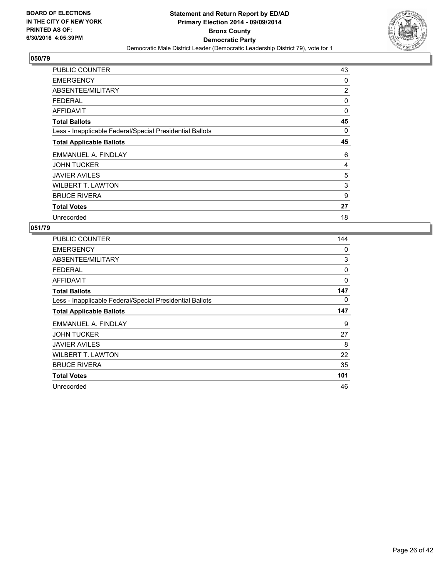

| <b>PUBLIC COUNTER</b>                                    | 43             |
|----------------------------------------------------------|----------------|
| <b>EMERGENCY</b>                                         | 0              |
| ABSENTEE/MILITARY                                        | $\overline{c}$ |
| <b>FEDERAL</b>                                           | 0              |
| <b>AFFIDAVIT</b>                                         | $\Omega$       |
| <b>Total Ballots</b>                                     | 45             |
| Less - Inapplicable Federal/Special Presidential Ballots | 0              |
| <b>Total Applicable Ballots</b>                          | 45             |
| EMMANUEL A. FINDLAY                                      | 6              |
| <b>JOHN TUCKER</b>                                       | 4              |
| <b>JAVIER AVILES</b>                                     | 5              |
| <b>WILBERT T. LAWTON</b>                                 | 3              |
| <b>BRUCE RIVERA</b>                                      | 9              |
| <b>Total Votes</b>                                       | 27             |
| Unrecorded                                               | 18             |

| <b>PUBLIC COUNTER</b>                                    | 144 |
|----------------------------------------------------------|-----|
| <b>EMERGENCY</b>                                         | 0   |
| ABSENTEE/MILITARY                                        | 3   |
| <b>FEDERAL</b>                                           | 0   |
| AFFIDAVIT                                                | 0   |
| <b>Total Ballots</b>                                     | 147 |
| Less - Inapplicable Federal/Special Presidential Ballots | 0   |
| <b>Total Applicable Ballots</b>                          | 147 |
| EMMANUEL A. FINDLAY                                      | 9   |
| <b>JOHN TUCKER</b>                                       | 27  |
| <b>JAVIER AVILES</b>                                     | 8   |
| <b>WILBERT T. LAWTON</b>                                 | 22  |
| <b>BRUCE RIVERA</b>                                      | 35  |
| <b>Total Votes</b>                                       | 101 |
| Unrecorded                                               | 46  |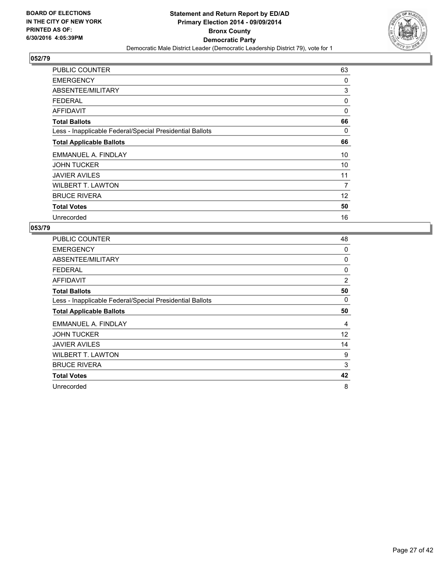

| <b>PUBLIC COUNTER</b>                                    | 63       |
|----------------------------------------------------------|----------|
| <b>EMERGENCY</b>                                         | 0        |
| ABSENTEE/MILITARY                                        | 3        |
| <b>FEDERAL</b>                                           | 0        |
| <b>AFFIDAVIT</b>                                         | $\Omega$ |
| <b>Total Ballots</b>                                     | 66       |
| Less - Inapplicable Federal/Special Presidential Ballots | 0        |
| <b>Total Applicable Ballots</b>                          | 66       |
| EMMANUEL A. FINDLAY                                      | 10       |
| <b>JOHN TUCKER</b>                                       | 10       |
| <b>JAVIER AVILES</b>                                     | 11       |
| <b>WILBERT T. LAWTON</b>                                 | 7        |
| <b>BRUCE RIVERA</b>                                      | 12       |
| <b>Total Votes</b>                                       | 50       |
| Unrecorded                                               | 16       |

| PUBLIC COUNTER                                           | 48             |
|----------------------------------------------------------|----------------|
| <b>EMERGENCY</b>                                         | 0              |
| ABSENTEE/MILITARY                                        | 0              |
| <b>FEDERAL</b>                                           | 0              |
| <b>AFFIDAVIT</b>                                         | $\overline{2}$ |
| <b>Total Ballots</b>                                     | 50             |
| Less - Inapplicable Federal/Special Presidential Ballots | 0              |
| <b>Total Applicable Ballots</b>                          | 50             |
| EMMANUEL A. FINDLAY                                      | 4              |
| <b>JOHN TUCKER</b>                                       | 12             |
| <b>JAVIER AVILES</b>                                     | 14             |
| <b>WILBERT T. LAWTON</b>                                 | 9              |
| <b>BRUCE RIVERA</b>                                      | 3              |
| <b>Total Votes</b>                                       | 42             |
| Unrecorded                                               | 8              |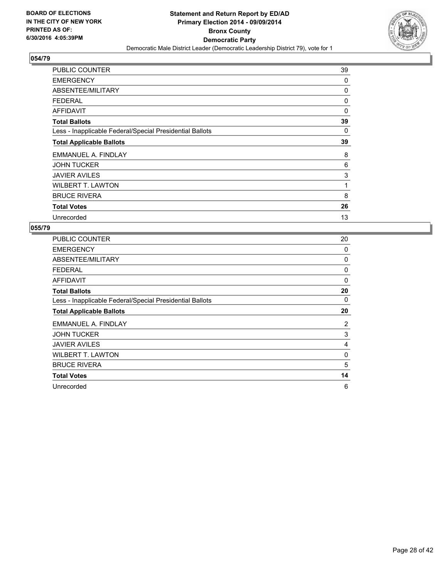

| <b>PUBLIC COUNTER</b>                                    | 39 |
|----------------------------------------------------------|----|
| <b>EMERGENCY</b>                                         | 0  |
| ABSENTEE/MILITARY                                        | 0  |
| <b>FEDERAL</b>                                           | 0  |
| <b>AFFIDAVIT</b>                                         | 0  |
| <b>Total Ballots</b>                                     | 39 |
| Less - Inapplicable Federal/Special Presidential Ballots | 0  |
| <b>Total Applicable Ballots</b>                          | 39 |
| EMMANUEL A. FINDLAY                                      | 8  |
| <b>JOHN TUCKER</b>                                       | 6  |
| <b>JAVIER AVILES</b>                                     | 3  |
| <b>WILBERT T. LAWTON</b>                                 | 1  |
| <b>BRUCE RIVERA</b>                                      | 8  |
| <b>Total Votes</b>                                       | 26 |
| Unrecorded                                               | 13 |

| <b>PUBLIC COUNTER</b>                                    | 20 |
|----------------------------------------------------------|----|
| <b>EMERGENCY</b>                                         | 0  |
| ABSENTEE/MILITARY                                        | 0  |
| <b>FEDERAL</b>                                           | 0  |
| <b>AFFIDAVIT</b>                                         | 0  |
| <b>Total Ballots</b>                                     | 20 |
| Less - Inapplicable Federal/Special Presidential Ballots | 0  |
| <b>Total Applicable Ballots</b>                          | 20 |
| EMMANUEL A. FINDLAY                                      | 2  |
| <b>JOHN TUCKER</b>                                       | 3  |
| <b>JAVIER AVILES</b>                                     | 4  |
| <b>WILBERT T. LAWTON</b>                                 | 0  |
| <b>BRUCE RIVERA</b>                                      | 5  |
| <b>Total Votes</b>                                       | 14 |
| Unrecorded                                               | 6  |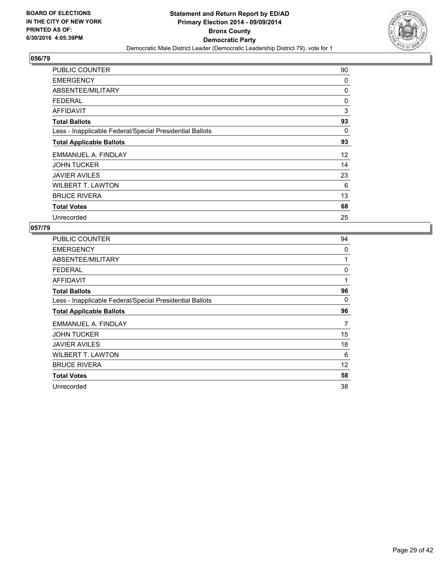

| <b>PUBLIC COUNTER</b>                                    | 90 |
|----------------------------------------------------------|----|
| <b>EMERGENCY</b>                                         | 0  |
| ABSENTEE/MILITARY                                        | 0  |
| <b>FEDERAL</b>                                           | 0  |
| AFFIDAVIT                                                | 3  |
| <b>Total Ballots</b>                                     | 93 |
| Less - Inapplicable Federal/Special Presidential Ballots | 0  |
| <b>Total Applicable Ballots</b>                          | 93 |
| EMMANUEL A. FINDLAY                                      | 12 |
| <b>JOHN TUCKER</b>                                       | 14 |
| <b>JAVIER AVILES</b>                                     | 23 |
| <b>WILBERT T. LAWTON</b>                                 | 6  |
| <b>BRUCE RIVERA</b>                                      | 13 |
| <b>Total Votes</b>                                       | 68 |
| Unrecorded                                               | 25 |

| <b>PUBLIC COUNTER</b>                                    | 94 |
|----------------------------------------------------------|----|
| <b>EMERGENCY</b>                                         | 0  |
| ABSENTEE/MILITARY                                        | 1  |
| <b>FEDERAL</b>                                           | 0  |
| <b>AFFIDAVIT</b>                                         | 1  |
| <b>Total Ballots</b>                                     | 96 |
| Less - Inapplicable Federal/Special Presidential Ballots | 0  |
| <b>Total Applicable Ballots</b>                          | 96 |
| EMMANUEL A. FINDLAY                                      | 7  |
| <b>JOHN TUCKER</b>                                       | 15 |
| <b>JAVIER AVILES</b>                                     | 18 |
| <b>WILBERT T. LAWTON</b>                                 | 6  |
| <b>BRUCE RIVERA</b>                                      | 12 |
| <b>Total Votes</b>                                       | 58 |
| Unrecorded                                               | 38 |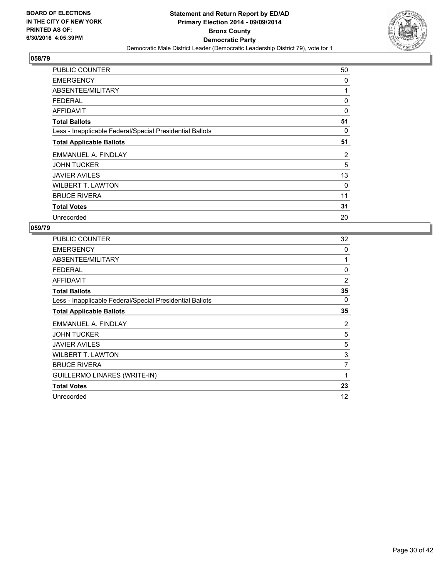

| PUBLIC COUNTER                                           | 50 |
|----------------------------------------------------------|----|
| <b>EMERGENCY</b>                                         | 0  |
| ABSENTEE/MILITARY                                        | 1  |
| <b>FEDERAL</b>                                           | 0  |
| <b>AFFIDAVIT</b>                                         | 0  |
| <b>Total Ballots</b>                                     | 51 |
| Less - Inapplicable Federal/Special Presidential Ballots | 0  |
| <b>Total Applicable Ballots</b>                          | 51 |
| EMMANUEL A. FINDLAY                                      | 2  |
| <b>JOHN TUCKER</b>                                       | 5  |
| <b>JAVIER AVILES</b>                                     | 13 |
| <b>WILBERT T. LAWTON</b>                                 | 0  |
| <b>BRUCE RIVERA</b>                                      | 11 |
| <b>Total Votes</b>                                       | 31 |
| Unrecorded                                               | 20 |

| PUBLIC COUNTER                                           | 32             |
|----------------------------------------------------------|----------------|
| <b>EMERGENCY</b>                                         | 0              |
| ABSENTEE/MILITARY                                        | 1              |
| <b>FEDERAL</b>                                           | 0              |
| <b>AFFIDAVIT</b>                                         | $\overline{2}$ |
| <b>Total Ballots</b>                                     | 35             |
| Less - Inapplicable Federal/Special Presidential Ballots | 0              |
| <b>Total Applicable Ballots</b>                          | 35             |
| EMMANUEL A. FINDLAY                                      | 2              |
| <b>JOHN TUCKER</b>                                       | 5              |
| <b>JAVIER AVILES</b>                                     | 5              |
| <b>WILBERT T. LAWTON</b>                                 | 3              |
| <b>BRUCE RIVERA</b>                                      | 7              |
| <b>GUILLERMO LINARES (WRITE-IN)</b>                      | 1              |
| <b>Total Votes</b>                                       | 23             |
| Unrecorded                                               | 12             |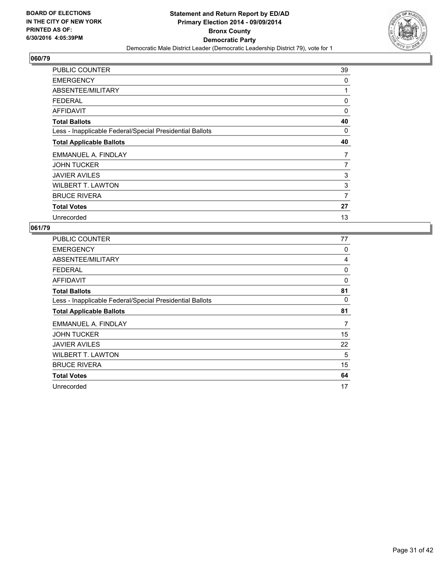

| <b>PUBLIC COUNTER</b>                                    | 39 |
|----------------------------------------------------------|----|
| <b>EMERGENCY</b>                                         | 0  |
| ABSENTEE/MILITARY                                        | 1  |
| <b>FEDERAL</b>                                           | 0  |
| <b>AFFIDAVIT</b>                                         | 0  |
| <b>Total Ballots</b>                                     | 40 |
| Less - Inapplicable Federal/Special Presidential Ballots | 0  |
| <b>Total Applicable Ballots</b>                          | 40 |
| EMMANUEL A. FINDLAY                                      | 7  |
| <b>JOHN TUCKER</b>                                       | 7  |
| <b>JAVIER AVILES</b>                                     | 3  |
| <b>WILBERT T. LAWTON</b>                                 | 3  |
| <b>BRUCE RIVERA</b>                                      | 7  |
| <b>Total Votes</b>                                       | 27 |
| Unrecorded                                               | 13 |

| <b>PUBLIC COUNTER</b>                                    | 77 |
|----------------------------------------------------------|----|
| <b>EMERGENCY</b>                                         | 0  |
| ABSENTEE/MILITARY                                        | 4  |
| <b>FEDERAL</b>                                           | 0  |
| <b>AFFIDAVIT</b>                                         | 0  |
| <b>Total Ballots</b>                                     | 81 |
| Less - Inapplicable Federal/Special Presidential Ballots | 0  |
| <b>Total Applicable Ballots</b>                          | 81 |
| EMMANUEL A. FINDLAY                                      | 7  |
| <b>JOHN TUCKER</b>                                       | 15 |
| <b>JAVIER AVILES</b>                                     | 22 |
| <b>WILBERT T. LAWTON</b>                                 | 5  |
| <b>BRUCE RIVERA</b>                                      | 15 |
| <b>Total Votes</b>                                       | 64 |
| Unrecorded                                               | 17 |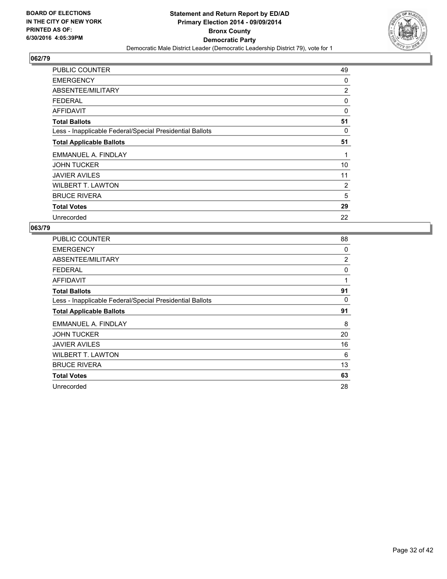

| <b>PUBLIC COUNTER</b>                                    | 49             |
|----------------------------------------------------------|----------------|
| <b>EMERGENCY</b>                                         | 0              |
| ABSENTEE/MILITARY                                        | $\overline{2}$ |
| <b>FEDERAL</b>                                           | 0              |
| AFFIDAVIT                                                | 0              |
| <b>Total Ballots</b>                                     | 51             |
| Less - Inapplicable Federal/Special Presidential Ballots | 0              |
| <b>Total Applicable Ballots</b>                          | 51             |
| EMMANUEL A. FINDLAY                                      | 1              |
| <b>JOHN TUCKER</b>                                       | 10             |
| <b>JAVIER AVILES</b>                                     | 11             |
| <b>WILBERT T. LAWTON</b>                                 | 2              |
| <b>BRUCE RIVERA</b>                                      | 5              |
| <b>Total Votes</b>                                       | 29             |
| Unrecorded                                               | 22             |

| <b>PUBLIC COUNTER</b>                                    | 88             |
|----------------------------------------------------------|----------------|
| <b>EMERGENCY</b>                                         | 0              |
| ABSENTEE/MILITARY                                        | $\overline{2}$ |
| <b>FEDERAL</b>                                           | 0              |
| <b>AFFIDAVIT</b>                                         | 1              |
| <b>Total Ballots</b>                                     | 91             |
| Less - Inapplicable Federal/Special Presidential Ballots | 0              |
| <b>Total Applicable Ballots</b>                          | 91             |
| EMMANUEL A. FINDLAY                                      | 8              |
| <b>JOHN TUCKER</b>                                       | 20             |
| <b>JAVIER AVILES</b>                                     | 16             |
| <b>WILBERT T. LAWTON</b>                                 | 6              |
| <b>BRUCE RIVERA</b>                                      | 13             |
| <b>Total Votes</b>                                       | 63             |
| Unrecorded                                               | 28             |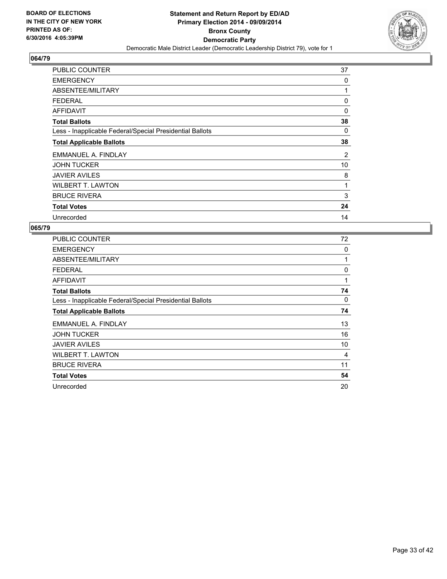

| PUBLIC COUNTER                                           | 37 |
|----------------------------------------------------------|----|
| <b>EMERGENCY</b>                                         | 0  |
| ABSENTEE/MILITARY                                        | 1  |
| <b>FEDERAL</b>                                           | 0  |
| <b>AFFIDAVIT</b>                                         | 0  |
| <b>Total Ballots</b>                                     | 38 |
| Less - Inapplicable Federal/Special Presidential Ballots | 0  |
| <b>Total Applicable Ballots</b>                          | 38 |
| EMMANUEL A. FINDLAY                                      | 2  |
| <b>JOHN TUCKER</b>                                       | 10 |
| <b>JAVIER AVILES</b>                                     | 8  |
| <b>WILBERT T. LAWTON</b>                                 | 1  |
| <b>BRUCE RIVERA</b>                                      | 3  |
| <b>Total Votes</b>                                       | 24 |
| Unrecorded                                               | 14 |

| <b>PUBLIC COUNTER</b>                                    | 72           |
|----------------------------------------------------------|--------------|
| <b>EMERGENCY</b>                                         | 0            |
| ABSENTEE/MILITARY                                        | 1            |
| <b>FEDERAL</b>                                           | 0            |
| <b>AFFIDAVIT</b>                                         | $\mathbf{1}$ |
| <b>Total Ballots</b>                                     | 74           |
| Less - Inapplicable Federal/Special Presidential Ballots | 0            |
| <b>Total Applicable Ballots</b>                          | 74           |
| EMMANUEL A. FINDLAY                                      | 13           |
| <b>JOHN TUCKER</b>                                       | 16           |
| <b>JAVIER AVILES</b>                                     | 10           |
| <b>WILBERT T. LAWTON</b>                                 | 4            |
| <b>BRUCE RIVERA</b>                                      | 11           |
| <b>Total Votes</b>                                       | 54           |
| Unrecorded                                               | 20           |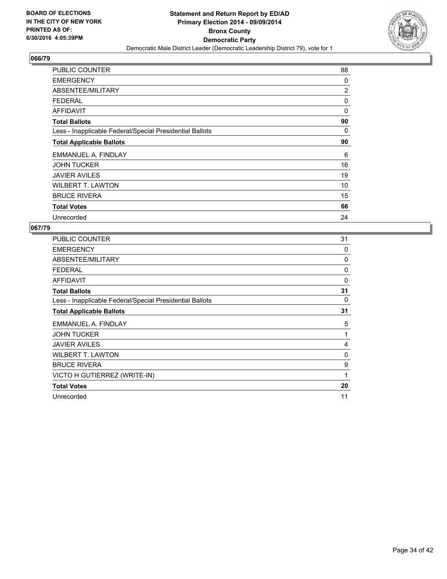

| <b>PUBLIC COUNTER</b>                                    | 88 |
|----------------------------------------------------------|----|
| <b>EMERGENCY</b>                                         | 0  |
| ABSENTEE/MILITARY                                        | 2  |
| <b>FEDERAL</b>                                           | 0  |
| <b>AFFIDAVIT</b>                                         | 0  |
| <b>Total Ballots</b>                                     | 90 |
| Less - Inapplicable Federal/Special Presidential Ballots | 0  |
| <b>Total Applicable Ballots</b>                          | 90 |
| EMMANUEL A. FINDLAY                                      | 6  |
| <b>JOHN TUCKER</b>                                       | 16 |
| <b>JAVIER AVILES</b>                                     | 19 |
| <b>WILBERT T. LAWTON</b>                                 | 10 |
| <b>BRUCE RIVERA</b>                                      | 15 |
| <b>Total Votes</b>                                       | 66 |
| Unrecorded                                               | 24 |

| <b>PUBLIC COUNTER</b>                                    | 31 |
|----------------------------------------------------------|----|
| <b>EMERGENCY</b>                                         | 0  |
| ABSENTEE/MILITARY                                        | 0  |
| <b>FEDERAL</b>                                           | 0  |
| <b>AFFIDAVIT</b>                                         | 0  |
| <b>Total Ballots</b>                                     | 31 |
| Less - Inapplicable Federal/Special Presidential Ballots | 0  |
| <b>Total Applicable Ballots</b>                          | 31 |
| EMMANUEL A. FINDLAY                                      | 5  |
| <b>JOHN TUCKER</b>                                       | 1  |
| <b>JAVIER AVILES</b>                                     | 4  |
| <b>WILBERT T. LAWTON</b>                                 | 0  |
| <b>BRUCE RIVERA</b>                                      | 9  |
| VICTO H GUTIERREZ (WRITE-IN)                             | 1  |
| <b>Total Votes</b>                                       | 20 |
| Unrecorded                                               | 11 |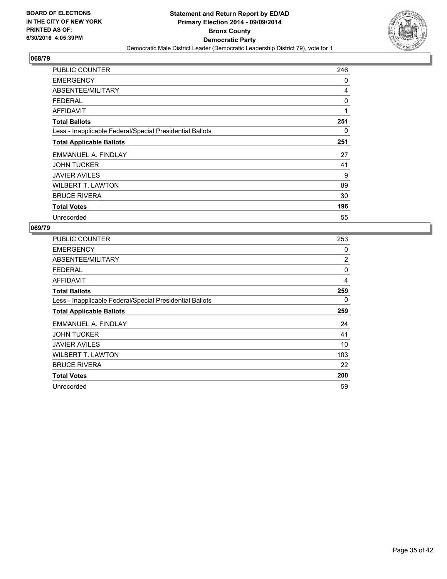

| <b>PUBLIC COUNTER</b>                                    | 246 |
|----------------------------------------------------------|-----|
| <b>EMERGENCY</b>                                         | 0   |
| ABSENTEE/MILITARY                                        | 4   |
| <b>FEDERAL</b>                                           | 0   |
| AFFIDAVIT                                                | 1   |
| <b>Total Ballots</b>                                     | 251 |
| Less - Inapplicable Federal/Special Presidential Ballots | 0   |
| <b>Total Applicable Ballots</b>                          | 251 |
| EMMANUEL A. FINDLAY                                      | 27  |
| <b>JOHN TUCKER</b>                                       | 41  |
| <b>JAVIER AVILES</b>                                     | 9   |
| <b>WILBERT T. LAWTON</b>                                 | 89  |
| <b>BRUCE RIVERA</b>                                      | 30  |
| <b>Total Votes</b>                                       | 196 |
| Unrecorded                                               | 55  |

| <b>PUBLIC COUNTER</b>                                    | 253      |
|----------------------------------------------------------|----------|
| <b>EMERGENCY</b>                                         | 0        |
| ABSENTEE/MILITARY                                        | 2        |
| <b>FEDERAL</b>                                           | $\Omega$ |
| AFFIDAVIT                                                | 4        |
| <b>Total Ballots</b>                                     | 259      |
| Less - Inapplicable Federal/Special Presidential Ballots | 0        |
| <b>Total Applicable Ballots</b>                          | 259      |
| EMMANUEL A. FINDLAY                                      | 24       |
| <b>JOHN TUCKER</b>                                       | 41       |
| <b>JAVIER AVILES</b>                                     | 10       |
| <b>WILBERT T. LAWTON</b>                                 | 103      |
| <b>BRUCE RIVERA</b>                                      | 22       |
| <b>Total Votes</b>                                       | 200      |
| Unrecorded                                               | 59       |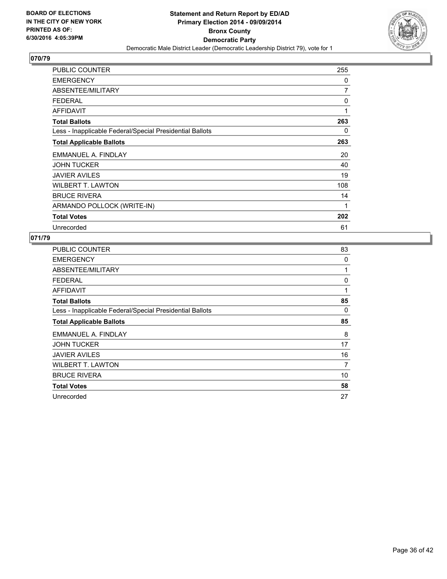

| <b>PUBLIC COUNTER</b>                                    | 255 |
|----------------------------------------------------------|-----|
| <b>EMERGENCY</b>                                         | 0   |
| ABSENTEE/MILITARY                                        | 7   |
| <b>FEDERAL</b>                                           | 0   |
| <b>AFFIDAVIT</b>                                         | 1   |
| <b>Total Ballots</b>                                     | 263 |
| Less - Inapplicable Federal/Special Presidential Ballots | 0   |
| <b>Total Applicable Ballots</b>                          | 263 |
| EMMANUEL A. FINDLAY                                      | 20  |
| <b>JOHN TUCKER</b>                                       | 40  |
| <b>JAVIER AVILES</b>                                     | 19  |
| <b>WILBERT T. LAWTON</b>                                 | 108 |
| <b>BRUCE RIVERA</b>                                      | 14  |
| ARMANDO POLLOCK (WRITE-IN)                               | 1   |
| <b>Total Votes</b>                                       | 202 |
| Unrecorded                                               | 61  |

| <b>PUBLIC COUNTER</b>                                    | 83 |
|----------------------------------------------------------|----|
| <b>EMERGENCY</b>                                         | 0  |
| ABSENTEE/MILITARY                                        | 1  |
| <b>FEDERAL</b>                                           | 0  |
| <b>AFFIDAVIT</b>                                         | 1  |
| <b>Total Ballots</b>                                     | 85 |
| Less - Inapplicable Federal/Special Presidential Ballots | 0  |
| <b>Total Applicable Ballots</b>                          | 85 |
| EMMANUEL A. FINDLAY                                      | 8  |
| <b>JOHN TUCKER</b>                                       | 17 |
| <b>JAVIER AVILES</b>                                     | 16 |
| <b>WILBERT T. LAWTON</b>                                 | 7  |
| <b>BRUCE RIVERA</b>                                      | 10 |
| <b>Total Votes</b>                                       | 58 |
| Unrecorded                                               | 27 |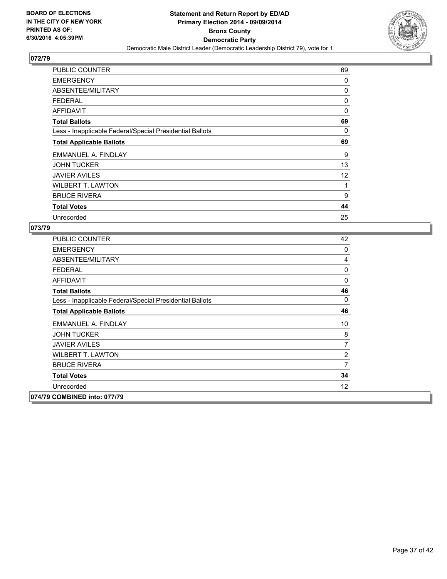

| PUBLIC COUNTER                                           | 69 |
|----------------------------------------------------------|----|
| <b>EMERGENCY</b>                                         | 0  |
| ABSENTEE/MILITARY                                        | 0  |
| <b>FEDERAL</b>                                           | 0  |
| AFFIDAVIT                                                | 0  |
| <b>Total Ballots</b>                                     | 69 |
| Less - Inapplicable Federal/Special Presidential Ballots | 0  |
| <b>Total Applicable Ballots</b>                          | 69 |
| EMMANUEL A. FINDLAY                                      | 9  |
| <b>JOHN TUCKER</b>                                       | 13 |
| <b>JAVIER AVILES</b>                                     | 12 |
| <b>WILBERT T. LAWTON</b>                                 | 1  |
| <b>BRUCE RIVERA</b>                                      | 9  |
| <b>Total Votes</b>                                       | 44 |
| Unrecorded                                               | 25 |

| <b>PUBLIC COUNTER</b>                                    | 42                |
|----------------------------------------------------------|-------------------|
| <b>EMERGENCY</b>                                         | 0                 |
| ABSENTEE/MILITARY                                        | 4                 |
| <b>FEDERAL</b>                                           | 0                 |
| <b>AFFIDAVIT</b>                                         | 0                 |
| <b>Total Ballots</b>                                     | 46                |
| Less - Inapplicable Federal/Special Presidential Ballots | 0                 |
| <b>Total Applicable Ballots</b>                          | 46                |
| EMMANUEL A. FINDLAY                                      | 10                |
| <b>JOHN TUCKER</b>                                       | 8                 |
| <b>JAVIER AVILES</b>                                     | 7                 |
| <b>WILBERT T. LAWTON</b>                                 | 2                 |
| <b>BRUCE RIVERA</b>                                      | $\overline{7}$    |
| <b>Total Votes</b>                                       | 34                |
| Unrecorded                                               | $12 \overline{ }$ |
| 074/79 COMBINED into: 077/79                             |                   |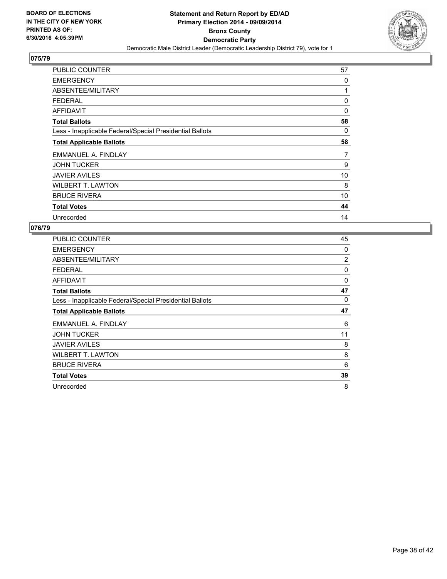

| PUBLIC COUNTER                                           | 57 |
|----------------------------------------------------------|----|
| <b>EMERGENCY</b>                                         | 0  |
| ABSENTEE/MILITARY                                        | 1  |
| <b>FEDERAL</b>                                           | 0  |
| <b>AFFIDAVIT</b>                                         | 0  |
| <b>Total Ballots</b>                                     | 58 |
| Less - Inapplicable Federal/Special Presidential Ballots | 0  |
| <b>Total Applicable Ballots</b>                          | 58 |
| EMMANUEL A. FINDLAY                                      | 7  |
| <b>JOHN TUCKER</b>                                       | 9  |
| <b>JAVIER AVILES</b>                                     | 10 |
| <b>WILBERT T. LAWTON</b>                                 | 8  |
| <b>BRUCE RIVERA</b>                                      | 10 |
| <b>Total Votes</b>                                       | 44 |
| Unrecorded                                               | 14 |

| PUBLIC COUNTER                                           | 45             |
|----------------------------------------------------------|----------------|
| <b>EMERGENCY</b>                                         | 0              |
| ABSENTEE/MILITARY                                        | $\overline{2}$ |
| <b>FEDERAL</b>                                           | 0              |
| <b>AFFIDAVIT</b>                                         | 0              |
| <b>Total Ballots</b>                                     | 47             |
| Less - Inapplicable Federal/Special Presidential Ballots | 0              |
| <b>Total Applicable Ballots</b>                          | 47             |
| EMMANUEL A. FINDLAY                                      | 6              |
| <b>JOHN TUCKER</b>                                       | 11             |
| <b>JAVIER AVILES</b>                                     | 8              |
| <b>WILBERT T. LAWTON</b>                                 | 8              |
| <b>BRUCE RIVERA</b>                                      | 6              |
| <b>Total Votes</b>                                       | 39             |
|                                                          |                |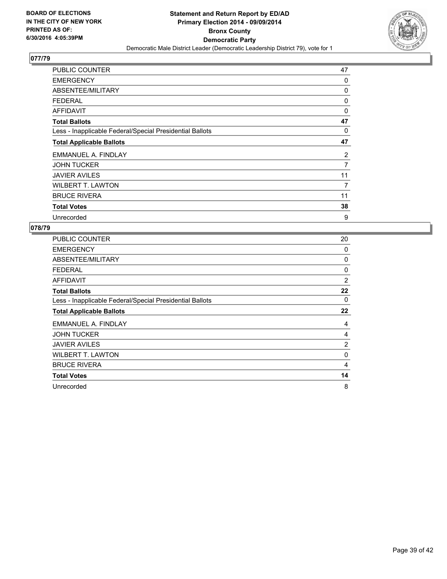

| <b>PUBLIC COUNTER</b>                                    | 47 |
|----------------------------------------------------------|----|
| <b>EMERGENCY</b>                                         | 0  |
| ABSENTEE/MILITARY                                        | 0  |
| <b>FEDERAL</b>                                           | 0  |
| AFFIDAVIT                                                | 0  |
| <b>Total Ballots</b>                                     | 47 |
| Less - Inapplicable Federal/Special Presidential Ballots | 0  |
| <b>Total Applicable Ballots</b>                          | 47 |
| EMMANUEL A. FINDLAY                                      | 2  |
| <b>JOHN TUCKER</b>                                       | 7  |
| <b>JAVIER AVILES</b>                                     | 11 |
| <b>WILBERT T. LAWTON</b>                                 | 7  |
| <b>BRUCE RIVERA</b>                                      | 11 |
| <b>Total Votes</b>                                       | 38 |
| Unrecorded                                               | 9  |

| <b>PUBLIC COUNTER</b>                                    | 20             |
|----------------------------------------------------------|----------------|
| <b>EMERGENCY</b>                                         | 0              |
| ABSENTEE/MILITARY                                        | 0              |
| <b>FEDERAL</b>                                           | 0              |
| <b>AFFIDAVIT</b>                                         | 2              |
| <b>Total Ballots</b>                                     | 22             |
| Less - Inapplicable Federal/Special Presidential Ballots | 0              |
| <b>Total Applicable Ballots</b>                          | 22             |
| EMMANUEL A. FINDLAY                                      | 4              |
| <b>JOHN TUCKER</b>                                       | 4              |
| <b>JAVIER AVILES</b>                                     | $\overline{2}$ |
| <b>WILBERT T. LAWTON</b>                                 | 0              |
| <b>BRUCE RIVERA</b>                                      | 4              |
| <b>Total Votes</b>                                       | 14             |
| Unrecorded                                               | 8              |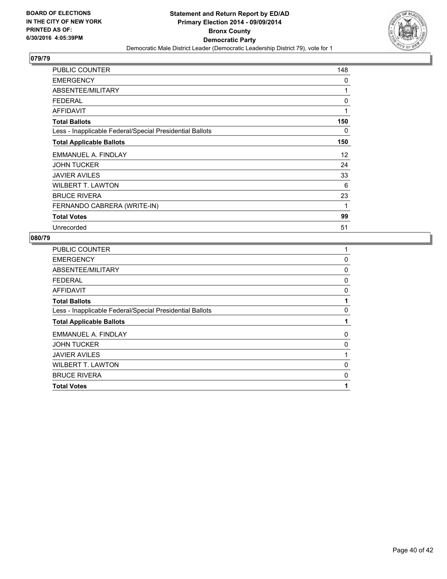

| <b>PUBLIC COUNTER</b>                                    | 148 |
|----------------------------------------------------------|-----|
| <b>EMERGENCY</b>                                         | 0   |
| ABSENTEE/MILITARY                                        | 1   |
| <b>FEDERAL</b>                                           | 0   |
| <b>AFFIDAVIT</b>                                         | 1   |
| <b>Total Ballots</b>                                     | 150 |
| Less - Inapplicable Federal/Special Presidential Ballots | 0   |
| <b>Total Applicable Ballots</b>                          | 150 |
| EMMANUEL A. FINDLAY                                      | 12  |
| <b>JOHN TUCKER</b>                                       | 24  |
| <b>JAVIER AVILES</b>                                     | 33  |
| <b>WILBERT T. LAWTON</b>                                 | 6   |
| <b>BRUCE RIVERA</b>                                      | 23  |
| FERNANDO CABRERA (WRITE-IN)                              | 1   |
| <b>Total Votes</b>                                       | 99  |
| Unrecorded                                               | 51  |

| 1 |
|---|
| 0 |
| 0 |
| 0 |
| 0 |
| 1 |
| 0 |
| 1 |
| 0 |
| 0 |
| 1 |
| 0 |
| 0 |
| 1 |
|   |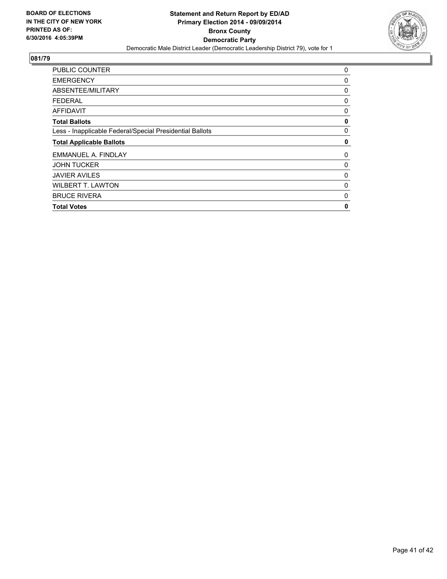

| 0 |
|---|
| 0 |
| 0 |
| 0 |
| 0 |
| 0 |
| 0 |
| 0 |
| 0 |
| 0 |
| 0 |
| 0 |
| 0 |
| 0 |
|   |